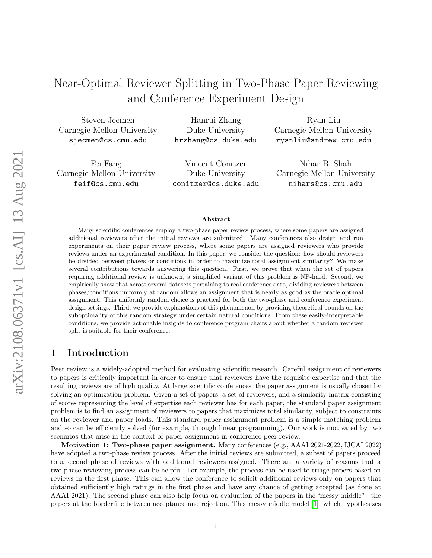# Near-Optimal Reviewer Splitting in Two-Phase Paper Reviewing and Conference Experiment Design

Steven Jecmen Carnegie Mellon University sjecmen@cs.cmu.edu

Hanrui Zhang Duke University hrzhang@cs.duke.edu

Fei Fang Carnegie Mellon University feif@cs.cmu.edu

Vincent Conitzer Duke University conitzer@cs.duke.edu

Ryan Liu Carnegie Mellon University ryanliu@andrew.cmu.edu

Nihar B. Shah Carnegie Mellon University nihars@cs.cmu.edu

#### Abstract

Many scientific conferences employ a two-phase paper review process, where some papers are assigned additional reviewers after the initial reviews are submitted. Many conferences also design and run experiments on their paper review process, where some papers are assigned reviewers who provide reviews under an experimental condition. In this paper, we consider the question: how should reviewers be divided between phases or conditions in order to maximize total assignment similarity? We make several contributions towards answering this question. First, we prove that when the set of papers requiring additional review is unknown, a simplified variant of this problem is NP-hard. Second, we empirically show that across several datasets pertaining to real conference data, dividing reviewers between phases/conditions uniformly at random allows an assignment that is nearly as good as the oracle optimal assignment. This uniformly random choice is practical for both the two-phase and conference experiment design settings. Third, we provide explanations of this phenomenon by providing theoretical bounds on the suboptimality of this random strategy under certain natural conditions. From these easily-interpretable conditions, we provide actionable insights to conference program chairs about whether a random reviewer split is suitable for their conference.

# 1 Introduction

Peer review is a widely-adopted method for evaluating scientific research. Careful assignment of reviewers to papers is critically important in order to ensure that reviewers have the requisite expertise and that the resulting reviews are of high quality. At large scientific conferences, the paper assignment is usually chosen by solving an optimization problem. Given a set of papers, a set of reviewers, and a similarity matrix consisting of scores representing the level of expertise each reviewer has for each paper, the standard paper assignment problem is to find an assignment of reviewers to papers that maximizes total similarity, subject to constraints on the reviewer and paper loads. This standard paper assignment problem is a simple matching problem and so can be efficiently solved (for example, through linear programming). Our work is motivated by two scenarios that arise in the context of paper assignment in conference peer review.

Motivation 1: Two-phase paper assignment. Many conferences (e.g., AAAI 2021-2022, IJCAI 2022) have adopted a two-phase review process. After the initial reviews are submitted, a subset of papers proceed to a second phase of reviews with additional reviewers assigned. There are a variety of reasons that a two-phase reviewing process can be helpful. For example, the process can be used to triage papers based on reviews in the first phase. This can allow the conference to solicit additional reviews only on papers that obtained sufficiently high ratings in the first phase and have any chance of getting accepted (as done at AAAI 2021). The second phase can also help focus on evaluation of the papers in the "messy middle"—the papers at the borderline between acceptance and rejection. This messy middle model [\[1\]](#page-12-0), which hypothesizes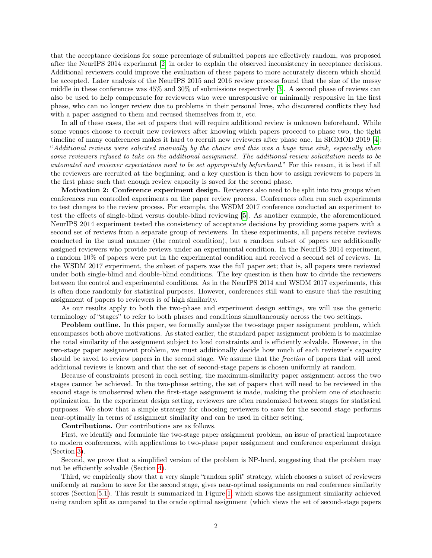that the acceptance decisions for some percentage of submitted papers are effectively random, was proposed after the NeurIPS 2014 experiment [\[2\]](#page-12-1) in order to explain the observed inconsistency in acceptance decisions. Additional reviewers could improve the evaluation of these papers to more accurately discern which should be accepted. Later analysis of the NeurIPS 2015 and 2016 review process found that the size of the messy middle in these conferences was 45% and 30% of submissions respectively [\[3\]](#page-12-2). A second phase of reviews can also be used to help compensate for reviewers who were unresponsive or minimally responsive in the first phase, who can no longer review due to problems in their personal lives, who discovered conflicts they had with a paper assigned to them and recused themselves from it, etc.

In all of these cases, the set of papers that will require additional review is unknown beforehand. While some venues choose to recruit new reviewers after knowing which papers proceed to phase two, the tight timeline of many conferences makes it hard to recruit new reviewers after phase one. In SIGMOD 2019 [\[4\]](#page-12-3): "Additional reviews were solicited manually by the chairs and this was a huge time sink, especially when some reviewers refused to take on the additional assignment. The additional review solicitation needs to be automated and reviewer expectations need to be set appropriately beforehand." For this reason, it is best if all the reviewers are recruited at the beginning, and a key question is then how to assign reviewers to papers in the first phase such that enough review capacity is saved for the second phase.

Motivation 2: Conference experiment design. Reviewers also need to be split into two groups when conferences run controlled experiments on the paper review process. Conferences often run such experiments to test changes to the review process. For example, the WSDM 2017 conference conducted an experiment to test the effects of single-blind versus double-blind reviewing [\[5\]](#page-12-4). As another example, the aforementioned NeurIPS 2014 experiment tested the consistency of acceptance decisions by providing some papers with a second set of reviews from a separate group of reviewers. In these experiments, all papers receive reviews conducted in the usual manner (the control condition), but a random subset of papers are additionally assigned reviewers who provide reviews under an experimental condition. In the NeurIPS 2014 experiment, a random 10% of papers were put in the experimental condition and received a second set of reviews. In the WSDM 2017 experiment, the subset of papers was the full paper set; that is, all papers were reviewed under both single-blind and double-blind conditions. The key question is then how to divide the reviewers between the control and experimental conditions. As in the NeurIPS 2014 and WSDM 2017 experiments, this is often done randomly for statistical purposes. However, conferences still want to ensure that the resulting assignment of papers to reviewers is of high similarity.

As our results apply to both the two-phase and experiment design settings, we will use the generic terminology of "stages" to refer to both phases and conditions simultaneously across the two settings.

Problem outline. In this paper, we formally analyze the two-stage paper assignment problem, which encompasses both above motivations. As stated earlier, the standard paper assignment problem is to maximize the total similarity of the assignment subject to load constraints and is efficiently solvable. However, in the two-stage paper assignment problem, we must additionally decide how much of each reviewer's capacity should be saved to review papers in the second stage. We assume that the fraction of papers that will need additional reviews is known and that the set of second-stage papers is chosen uniformly at random.

Because of constraints present in each setting, the maximum-similarity paper assignment across the two stages cannot be achieved. In the two-phase setting, the set of papers that will need to be reviewed in the second stage is unobserved when the first-stage assignment is made, making the problem one of stochastic optimization. In the experiment design setting, reviewers are often randomized between stages for statistical purposes. We show that a simple strategy for choosing reviewers to save for the second stage performs near-optimally in terms of assignment similarity and can be used in either setting.

Contributions. Our contributions are as follows.

First, we identify and formulate the two-stage paper assignment problem, an issue of practical importance to modern conferences, with applications to two-phase paper assignment and conference experiment design (Section [3\)](#page-3-0).

Second, we prove that a simplified version of the problem is NP-hard, suggesting that the problem may not be efficiently solvable (Section [4\)](#page-5-0).

Third, we empirically show that a very simple "random split" strategy, which chooses a subset of reviewers uniformly at random to save for the second stage, gives near-optimal assignments on real conference similarity scores (Section [5.1\)](#page-6-0). This result is summarized in Figure [1,](#page-2-0) which shows the assignment similarity achieved using random split as compared to the oracle optimal assignment (which views the set of second-stage papers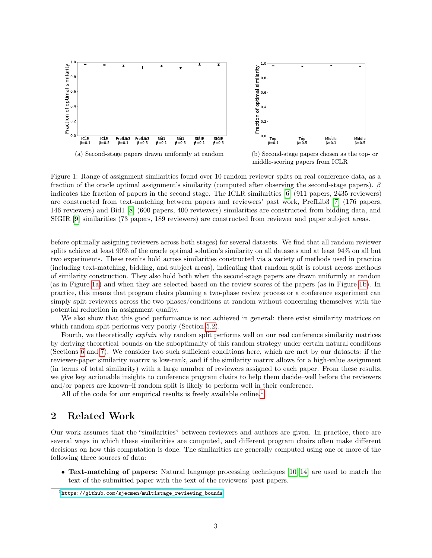<span id="page-2-0"></span>

Figure 1: Range of assignment similarities found over 10 random reviewer splits on real conference data, as a fraction of the oracle optimal assignment's similarity (computed after observing the second-stage papers). β indicates the fraction of papers in the second stage. The ICLR similarities [\[6\]](#page-12-5) (911 papers, 2435 reviewers) are constructed from text-matching between papers and reviewers' past work, PrefLib3 [\[7\]](#page-12-6) (176 papers, 146 reviewers) and Bid1 [\[8\]](#page-12-7) (600 papers, 400 reviewers) similarities are constructed from bidding data, and SIGIR [\[9\]](#page-12-8) similarities (73 papers, 189 reviewers) are constructed from reviewer and paper subject areas.

before optimally assigning reviewers across both stages) for several datasets. We find that all random reviewer splits achieve at least 90% of the oracle optimal solution's similarity on all datasets and at least 94% on all but two experiments. These results hold across similarities constructed via a variety of methods used in practice (including text-matching, bidding, and subject areas), indicating that random split is robust across methods of similarity construction. They also hold both when the second-stage papers are drawn uniformly at random (as in Figure [1a\)](#page-2-0) and when they are selected based on the review scores of the papers (as in Figure [1b\)](#page-2-0). In practice, this means that program chairs planning a two-phase review process or a conference experiment can simply split reviewers across the two phases/conditions at random without concerning themselves with the potential reduction in assignment quality.

We also show that this good performance is not achieved in general: there exist similarity matrices on which random split performs very poorly (Section [5.2\)](#page-7-0).

Fourth, we theoretically *explain* why random split performs well on our real conference similarity matrices by deriving theoretical bounds on the suboptimality of this random strategy under certain natural conditions (Sections [6](#page-7-1) and [7\)](#page-9-0). We consider two such sufficient conditions here, which are met by our datasets: if the reviewer-paper similarity matrix is low-rank, and if the similarity matrix allows for a high-value assignment (in terms of total similarity) with a large number of reviewers assigned to each paper. From these results, we give key actionable insights to conference program chairs to help them decide–well before the reviewers and/or papers are known–if random split is likely to perform well in their conference.

All of the code for our empirical results is freely available online.<sup>[1](#page-2-1)</sup>

# 2 Related Work

Our work assumes that the "similarities" between reviewers and authors are given. In practice, there are several ways in which these similarities are computed, and different program chairs often make different decisions on how this computation is done. The similarities are generally computed using one or more of the following three sources of data:

• Text-matching of papers: Natural language processing techniques [\[10](#page-12-9)[–14\]](#page-13-0) are used to match the text of the submitted paper with the text of the reviewers' past papers.

<span id="page-2-1"></span><sup>1</sup>[https://github.com/sjecmen/multistage\\_reviewing\\_bounds](https://github.com/sjecmen/multistage_reviewing_bounds)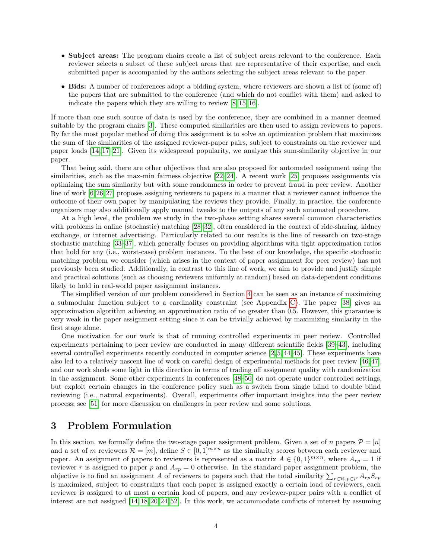- Subject areas: The program chairs create a list of subject areas relevant to the conference. Each reviewer selects a subset of these subject areas that are representative of their expertise, and each submitted paper is accompanied by the authors selecting the subject areas relevant to the paper.
- Bids: A number of conferences adopt a bidding system, where reviewers are shown a list of (some of) the papers that are submitted to the conference (and which do not conflict with them) and asked to indicate the papers which they are willing to review [\[8,](#page-12-7) [15,](#page-13-1) [16\]](#page-13-2).

If more than one such source of data is used by the conference, they are combined in a manner deemed suitable by the program chairs [\[3\]](#page-12-2). These computed similarities are then used to assign reviewers to papers. By far the most popular method of doing this assignment is to solve an optimization problem that maximizes the sum of the similarities of the assigned reviewer-paper pairs, subject to constraints on the reviewer and paper loads [\[14,](#page-13-0) [17–](#page-13-3)[21\]](#page-13-4). Given its widespread popularity, we analyze this sum-similarity objective in our paper.

That being said, there are other objectives that are also proposed for automated assignment using the similarities, such as the max-min fairness objective [\[22](#page-13-5)[–24\]](#page-13-6). A recent work [\[25\]](#page-13-7) proposes assignments via optimizing the sum similarity but with some randomness in order to prevent fraud in peer review. Another line of work [\[6,](#page-12-5)[26,](#page-13-8)[27\]](#page-13-9) proposes assigning reviewers to papers in a manner that a reviewer cannot influence the outcome of their own paper by manipulating the reviews they provide. Finally, in practice, the conference organizers may also additionally apply manual tweaks to the outputs of any such automated procedure.

At a high level, the problem we study in the two-phase setting shares several common characteristics with problems in online (stochastic) matching [\[28–](#page-13-10)[32\]](#page-14-0), often considered in the context of ride-sharing, kidney exchange, or internet advertising. Particularly related to our results is the line of research on two-stage stochastic matching [\[33](#page-14-1)[–37\]](#page-14-2), which generally focuses on providing algorithms with tight approximation ratios that hold for any (i.e., worst-case) problem instances. To the best of our knowledge, the specific stochastic matching problem we consider (which arises in the context of paper assignment for peer review) has not previously been studied. Additionally, in contrast to this line of work, we aim to provide and justify simple and practical solutions (such as choosing reviewers uniformly at random) based on data-dependent conditions likely to hold in real-world paper assignment instances.

The simplified version of our problem considered in Section [4](#page-5-0) can be seen as an instance of maximizing a submodular function subject to a cardinality constraint (see Appendix [C\)](#page-18-0). The paper [\[38\]](#page-14-3) gives an approximation algorithm achieving an approximation ratio of no greater than 0.5. However, this guarantee is very weak in the paper assignment setting since it can be trivially achieved by maximizing similarity in the first stage alone.

One motivation for our work is that of running controlled experiments in peer review. Controlled experiments pertaining to peer review are conducted in many different scientific fields [\[39–](#page-14-4)[43\]](#page-14-5), including several controlled experiments recently conducted in computer science [\[2,](#page-12-1) [5,](#page-12-4) [44,](#page-14-6) [45\]](#page-14-7). These experiments have also led to a relatively nascent line of work on careful design of experimental methods for peer review [\[46,](#page-14-8) [47\]](#page-14-9), and our work sheds some light in this direction in terms of trading off assignment quality with randomization in the assignment. Some other experiments in conferences [\[48–](#page-15-0)[50\]](#page-15-1) do not operate under controlled settings, but exploit certain changes in the conference policy such as a switch from single blind to double blind reviewing (i.e., natural experiments). Overall, experiments offer important insights into the peer review process; see [\[51\]](#page-15-2) for more discussion on challenges in peer review and some solutions.

# <span id="page-3-0"></span>3 Problem Formulation

In this section, we formally define the two-stage paper assignment problem. Given a set of n papers  $\mathcal{P} = [n]$ and a set of m reviewers  $\mathcal{R} = [m]$ , define  $S \in [0,1]^{m \times n}$  as the similarity scores between each reviewer and paper. An assignment of papers to reviewers is represented as a matrix  $A \in \{0,1\}^{m \times n}$ , where  $A_{rp} = 1$  if reviewer r is assigned to paper p and  $A_{rp} = 0$  otherwise. In the standard paper assignment problem, the objective is to find an assignment A of reviewers to papers such that the total similarity  $\sum_{r\in\mathcal{R},p\in\mathcal{P}} A_{rp}S_{rp}$ is maximized, subject to constraints that each paper is assigned exactly a certain load of reviewers, each reviewer is assigned to at most a certain load of papers, and any reviewer-paper pairs with a conflict of interest are not assigned [\[14,](#page-13-0) [18,](#page-13-11) [20,](#page-13-12) [24,](#page-13-6) [52\]](#page-15-3). In this work, we accommodate conflicts of interest by assuming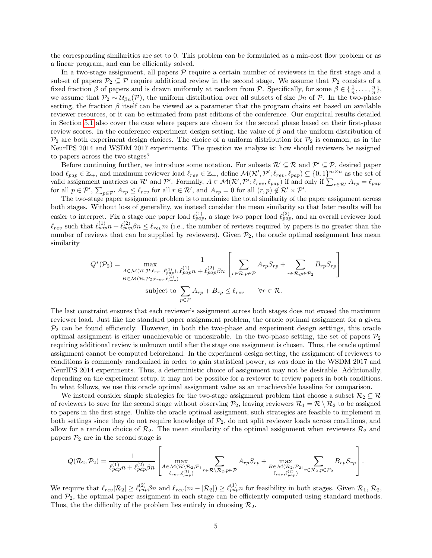the corresponding similarities are set to 0. This problem can be formulated as a min-cost flow problem or as a linear program, and can be efficiently solved.

In a two-stage assignment, all papers  $\mathcal P$  require a certain number of reviewers in the first stage and a subset of papers  $\mathcal{P}_2 \subseteq \mathcal{P}$  require additional review in the second stage. We assume that  $\mathcal{P}_2$  consists of a fixed fraction  $\beta$  of papers and is drawn uniformly at random from P. Specifically, for some  $\beta \in \{\frac{1}{n}, \ldots, \frac{n}{n}\},$ we assume that  $\mathcal{P}_2 \sim \mathcal{U}_{\beta n}(\mathcal{P})$ , the uniform distribution over all subsets of size  $\beta n$  of  $\mathcal{P}$ . In the two-phase setting, the fraction  $\beta$  itself can be viewed as a parameter that the program chairs set based on available reviewer resources, or it can be estimated from past editions of the conference. Our empirical results detailed in Section [5.1](#page-6-0) also cover the case where papers are chosen for the second phase based on their first-phase review scores. In the conference experiment design setting, the value of  $\beta$  and the uniform distribution of  $\mathcal{P}_2$  are both experiment design choices. The choice of a uniform distribution for  $\mathcal{P}_2$  is common, as in the NeurIPS 2014 and WSDM 2017 experiments. The question we analyze is: how should reviewers be assigned to papers across the two stages?

Before continuing further, we introduce some notation. For subsets  $\mathcal{R}' \subseteq \mathcal{R}$  and  $\mathcal{P}' \subseteq \mathcal{P}$ , desired paper load  $\ell_{pap} \in \mathbb{Z}_+$ , and maximum reviewer load  $\ell_{rev} \in \mathbb{Z}_+$ , define  $\mathcal{M}(\mathcal{R}', \mathcal{P}'; \ell_{rev}, \ell_{pap}) \subseteq \{0, 1\}^{m \times n}$  as the set of valid assignment matrices on  $\mathcal{R}'$  and  $\mathcal{P}'$ . Formally,  $A \in \mathcal{M}(\mathcal{R}', \mathcal{P}'; \ell_{rev}, \ell_{pap})$  if and only if  $\sum_{r \in \mathcal{R}'} A_{rp} = \ell_{pap}$ for all  $p \in \mathcal{P}'$ ,  $\sum_{p \in \mathcal{P}'} A_{rp} \leq \ell_{rev}$  for all  $r \in \mathcal{R}'$ , and  $A_{rp} = 0$  for all  $(r, p) \notin \mathcal{R}' \times \mathcal{P}'$ .

The two-stage paper assignment problem is to maximize the total similarity of the paper assignment across both stages. Without loss of generality, we instead consider the mean similarity so that later results will be easier to interpret. Fix a stage one paper load  $\ell_{pap}^{(1)}$ , a stage two paper load  $\ell_{pap}^{(2)}$ , and an overall reviewer load  $\ell_{rev}$  such that  $\ell_{pap}^{(1)} n + \ell_{pap}^{(2)} \beta n \leq \ell_{rev} m$  (i.e., the number of reviews required by papers is no greater than the number of reviews that can be supplied by reviewers). Given  $\mathcal{P}_2$ , the oracle optimal assignment has mean similarity

$$
Q^*(\mathcal{P}_2) = \max_{\substack{A \in \mathcal{M}(\mathcal{R}, \mathcal{P}; \ell_{rev}, \ell_{pap}^{(1)}) \\ B \in \mathcal{M}(\mathcal{R}, \mathcal{P}_2; \ell_{rev}, \ell_{pap}^{(2)})}} \frac{1}{\ell_{pap}^{(1)} n + \ell_{pap}^{(2)} \beta n} \left[ \sum_{r \in \mathcal{R}, p \in \mathcal{P}} A_{rp} S_{rp} + \sum_{r \in \mathcal{R}, p \in \mathcal{P}_2} B_{rp} S_{rp} \right]
$$
  
subject to 
$$
\sum_{p \in \mathcal{P}} A_{rp} + B_{rp} \leq \ell_{rev} \quad \forall r \in \mathcal{R}.
$$

The last constraint ensures that each reviewer's assignment across both stages does not exceed the maximum reviewer load. Just like the standard paper assignment problem, the oracle optimal assignment for a given  $P_2$  can be found efficiently. However, in both the two-phase and experiment design settings, this oracle optimal assignment is either unachievable or undesirable. In the two-phase setting, the set of papers  $\mathcal{P}_2$ requiring additional review is unknown until after the stage one assignment is chosen. Thus, the oracle optimal assignment cannot be computed beforehand. In the experiment design setting, the assignment of reviewers to conditions is commonly randomized in order to gain statistical power, as was done in the WSDM 2017 and NeurIPS 2014 experiments. Thus, a deterministic choice of assignment may not be desirable. Additionally, depending on the experiment setup, it may not be possible for a reviewer to review papers in both conditions. In what follows, we use this oracle optimal assignment value as an unachievable baseline for comparison.

We instead consider simple strategies for the two-stage assignment problem that choose a subset  $\mathcal{R}_2 \subseteq \mathcal{R}$ of reviewers to save for the second stage without observing  $P_2$ , leaving reviewers  $\mathcal{R}_1 = \mathcal{R} \setminus \mathcal{R}_2$  to be assigned to papers in the first stage. Unlike the oracle optimal assignment, such strategies are feasible to implement in both settings since they do not require knowledge of  $\mathcal{P}_2$ , do not split reviewer loads across conditions, and allow for a random choice of  $\mathcal{R}_2$ . The mean similarity of the optimal assignment when reviewers  $\mathcal{R}_2$  and papers  $\mathcal{P}_2$  are in the second stage is

$$
Q(\mathcal{R}_2, \mathcal{P}_2) = \frac{1}{\ell_{pap}^{(1)}n + \ell_{pap}^{(2)}\beta n} \left[ \max_{\substack{A \in \mathcal{M}(\mathcal{R} \setminus \mathcal{R}_2, \mathcal{P}; \\ \ell_{rev}, \ell_{pap}^{(1)})}} \sum_{r \in \mathcal{R} \setminus \mathcal{R}_2, p \in \mathcal{P}} A_{rp} S_{rp} + \max_{\substack{B \in \mathcal{M}(\mathcal{R}_2, \mathcal{P}_2; \\ \ell_{rev}, \ell_{pap}^{(2)})}} \sum_{r \in \mathcal{R}_2, p \in \mathcal{P}_2} B_{rp} S_{rp} \right].
$$

We require that  $\ell_{rev} |R_2| \geq \ell_{pap}^{(2)} \beta n$  and  $\ell_{rev}(m - |R_2|) \geq \ell_{pap}^{(1)} n$  for feasibility in both stages. Given  $\mathcal{R}_1, \mathcal{R}_2$ , and  $P_2$ , the optimal paper assignment in each stage can be efficiently computed using standard methods. Thus, the the difficulty of the problem lies entirely in choosing  $\mathcal{R}_2$ .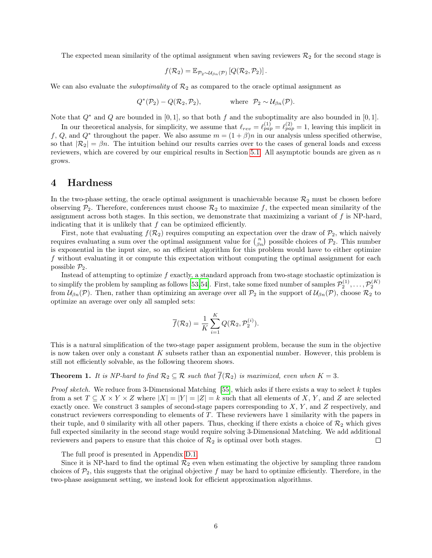The expected mean similarity of the optimal assignment when saving reviewers  $\mathcal{R}_2$  for the second stage is

$$
f(\mathcal{R}_2) = \mathbb{E}_{\mathcal{P}_2 \sim \mathcal{U}_{\beta n}(\mathcal{P})} \left[ Q(\mathcal{R}_2, \mathcal{P}_2) \right].
$$

We can also evaluate the *suboptimality* of  $\mathcal{R}_2$  as compared to the oracle optimal assignment as

$$
Q^*(P_2) - Q(\mathcal{R}_2, P_2)
$$
, where  $P_2 \sim \mathcal{U}_{\beta n}(\mathcal{P})$ .

Note that  $Q^*$  and  $Q$  are bounded in [0,1], so that both f and the suboptimality are also bounded in [0,1].

In our theoretical analysis, for simplicity, we assume that  $\ell_{rev} = \ell_{pap}^{(1)} = \ell_{pap}^{(2)} = 1$ , leaving this implicit in f, Q, and Q<sup>\*</sup> throughout the paper. We also assume  $m = (1 + \beta)n$  in our analysis unless specified otherwise, so that  $|\mathcal{R}_2| = \beta n$ . The intuition behind our results carries over to the cases of general loads and excess reviewers, which are covered by our empirical results in Section [5.1.](#page-6-0) All asymptotic bounds are given as  $n$ grows.

### <span id="page-5-0"></span>4 Hardness

In the two-phase setting, the oracle optimal assignment is unachievable because  $\mathcal{R}_2$  must be chosen before observing  $P_2$ . Therefore, conferences must choose  $\mathcal{R}_2$  to maximize f, the expected mean similarity of the assignment across both stages. In this section, we demonstrate that maximizing a variant of  $f$  is NP-hard, indicating that it is unlikely that  $f$  can be optimized efficiently.

First, note that evaluating  $f(\mathcal{R}_2)$  requires computing an expectation over the draw of  $\mathcal{P}_2$ , which naively requires evaluating a sum over the optimal assignment value for  $\binom{n}{\beta n}$  possible choices of  $\mathcal{P}_2$ . This number is exponential in the input size, so an efficient algorithm for this problem would have to either optimize f without evaluating it or compute this expectation without computing the optimal assignment for each possible  $\mathcal{P}_2$ .

Instead of attempting to optimize  $f$  exactly, a standard approach from two-stage stochastic optimization is to simplify the problem by sampling as follows [\[53,](#page-15-4)[54\]](#page-15-5). First, take some fixed number of samples  $\mathcal{P}_2^{(1)}, \ldots, \mathcal{P}_2^{(K)}$ from  $\mathcal{U}_{\beta n}(\mathcal{P})$ . Then, rather than optimizing an average over all  $\mathcal{P}_2$  in the support of  $\mathcal{U}_{\beta n}(\mathcal{P})$ , choose  $\mathcal{R}_2$  to optimize an average over only all sampled sets:

$$
\overline{f}(\mathcal{R}_2) = \frac{1}{K} \sum_{i=1}^K Q(\mathcal{R}_2, \mathcal{P}_2^{(i)}).
$$

This is a natural simplification of the two-stage paper assignment problem, because the sum in the objective is now taken over only a constant  $K$  subsets rather than an exponential number. However, this problem is still not efficiently solvable, as the following theorem shows.

### <span id="page-5-1"></span>**Theorem 1.** It is NP-hard to find  $\mathcal{R}_2 \subseteq \mathcal{R}$  such that  $\overline{f}(\mathcal{R}_2)$  is maximized, even when  $K = 3$ .

Proof sketch. We reduce from 3-Dimensional Matching [\[55\]](#page-15-6), which asks if there exists a way to select k tuples from a set  $T \subseteq X \times Y \times Z$  where  $|X| = |Y| = |Z| = k$  such that all elements of X, Y, and Z are selected exactly once. We construct 3 samples of second-stage papers corresponding to X, Y , and Z respectively, and construct reviewers corresponding to elements of T. These reviewers have 1 similarity with the papers in their tuple, and 0 similarity with all other papers. Thus, checking if there exists a choice of  $\mathcal{R}_2$  which gives full expected similarity in the second stage would require solving 3-Dimensional Matching. We add additional reviewers and papers to ensure that this choice of  $\mathcal{R}_2$  is optimal over both stages.  $\Box$ 

The full proof is presented in Appendix [D.1.](#page-19-0)

Since it is NP-hard to find the optimal  $\mathcal{R}_2$  even when estimating the objective by sampling three random choices of  $\mathcal{P}_2$ , this suggests that the original objective f may be hard to optimize efficiently. Therefore, in the two-phase assignment setting, we instead look for efficient approximation algorithms.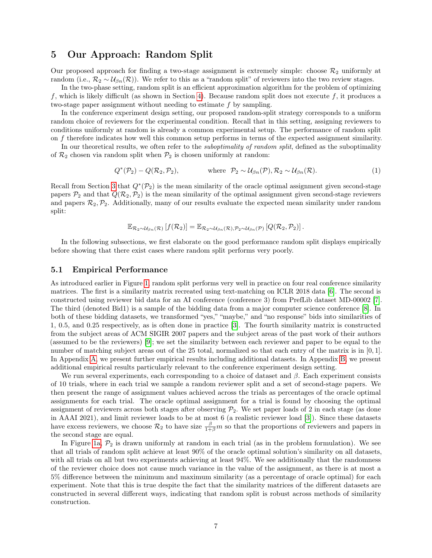## 5 Our Approach: Random Split

Our proposed approach for finding a two-stage assignment is extremely simple: choose  $\mathcal{R}_2$  uniformly at random (i.e.,  $\mathcal{R}_2 \sim \mathcal{U}_{\beta n}(\mathcal{R})$ ). We refer to this as a "random split" of reviewers into the two review stages.

In the two-phase setting, random split is an efficient approximation algorithm for the problem of optimizing f, which is likely difficult (as shown in Section [4\)](#page-5-0). Because random split does not execute f, it produces a two-stage paper assignment without needing to estimate  $f$  by sampling.

In the conference experiment design setting, our proposed random-split strategy corresponds to a uniform random choice of reviewers for the experimental condition. Recall that in this setting, assigning reviewers to conditions uniformly at random is already a common experimental setup. The performance of random split on f therefore indicates how well this common setup performs in terms of the expected assignment similarity.

In our theoretical results, we often refer to the *suboptimality of random split*, defined as the suboptimality of  $\mathcal{R}_2$  chosen via random split when  $\mathcal{P}_2$  is chosen uniformly at random:

$$
Q^*(\mathcal{P}_2) - Q(\mathcal{R}_2, \mathcal{P}_2), \qquad \text{where } \mathcal{P}_2 \sim \mathcal{U}_{\beta n}(\mathcal{P}), \mathcal{R}_2 \sim \mathcal{U}_{\beta n}(\mathcal{R}). \tag{1}
$$

Recall from Section [3](#page-3-0) that  $Q^*(\mathcal{P}_2)$  is the mean similarity of the oracle optimal assignment given second-stage papers  $\mathcal{P}_2$  and that  $\mathcal{Q}(\mathcal{R}_2,\mathcal{P}_2)$  is the mean similarity of the optimal assignment given second-stage reviewers and papers  $\mathcal{R}_2,\mathcal{P}_2$ . Additionally, many of our results evaluate the expected mean similarity under random split:

<span id="page-6-1"></span>
$$
\mathbb{E}_{\mathcal{R}_2 \sim \mathcal{U}_{\beta n}(\mathcal{R})} \left[ f(\mathcal{R}_2) \right] = \mathbb{E}_{\mathcal{R}_2 \sim \mathcal{U}_{\beta n}(\mathcal{R}), \mathcal{P}_2 \sim \mathcal{U}_{\beta n}(\mathcal{P})} \left[ Q(\mathcal{R}_2, \mathcal{P}_2) \right].
$$

In the following subsections, we first elaborate on the good performance random split displays empirically before showing that there exist cases where random split performs very poorly.

#### <span id="page-6-0"></span>5.1 Empirical Performance

As introduced earlier in Figure [1,](#page-2-0) random split performs very well in practice on four real conference similarity matrices. The first is a similarity matrix recreated using text-matching on ICLR 2018 data [\[6\]](#page-12-5). The second is constructed using reviewer bid data for an AI conference (conference 3) from PrefLib dataset MD-00002 [\[7\]](#page-12-6). The third (denoted Bid1) is a sample of the bidding data from a major computer science conference [\[8\]](#page-12-7). In both of these bidding datasets, we transformed "yes," "maybe," and "no response" bids into similarities of 1, 0.5, and 0.25 respectively, as is often done in practice [\[3\]](#page-12-2). The fourth similarity matrix is constructed from the subject areas of ACM SIGIR 2007 papers and the subject areas of the past work of their authors (assumed to be the reviewers) [\[9\]](#page-12-8); we set the similarity between each reviewer and paper to be equal to the number of matching subject areas out of the 25 total, normalized so that each entry of the matrix is in [0, 1]. In Appendix [A,](#page-16-0) we present further empirical results including additional datasets. In Appendix [B,](#page-17-0) we present additional empirical results particularly relevant to the conference experiment design setting.

We run several experiments, each corresponding to a choice of dataset and  $\beta$ . Each experiment consists of 10 trials, where in each trial we sample a random reviewer split and a set of second-stage papers. We then present the range of assignment values achieved across the trials as percentages of the oracle optimal assignments for each trial. The oracle optimal assignment for a trial is found by choosing the optimal assignment of reviewers across both stages after observing  $P_2$ . We set paper loads of 2 in each stage (as done in AAAI 2021), and limit reviewer loads to be at most 6 (a realistic reviewer load [\[3\]](#page-12-2)). Since these datasets have excess reviewers, we choose  $\mathcal{R}_2$  to have size  $\frac{\beta}{1+\beta}m$  so that the proportions of reviewers and papers in the second stage are equal.

In Figure [1a,](#page-2-0)  $P_2$  is drawn uniformly at random in each trial (as in the problem formulation). We see that all trials of random split achieve at least 90% of the oracle optimal solution's similarity on all datasets, with all trials on all but two experiments achieving at least 94%. We see additionally that the randomness of the reviewer choice does not cause much variance in the value of the assignment, as there is at most a 5% difference between the minimum and maximum similarity (as a percentage of oracle optimal) for each experiment. Note that this is true despite the fact that the similarity matrices of the different datasets are constructed in several different ways, indicating that random split is robust across methods of similarity construction.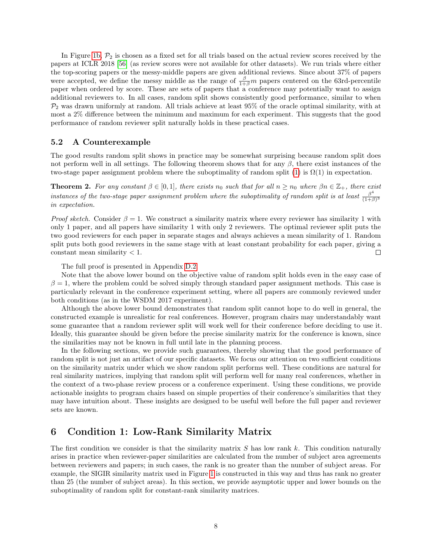In Figure [1b,](#page-2-0)  $P_2$  is chosen as a fixed set for all trials based on the actual review scores received by the papers at ICLR 2018 [\[56\]](#page-15-7) (as review scores were not available for other datasets). We run trials where either the top-scoring papers or the messy-middle papers are given additional reviews. Since about 37% of papers were accepted, we define the messy middle as the range of  $\frac{\beta}{1+\beta}m$  papers centered on the 63rd-percentile paper when ordered by score. These are sets of papers that a conference may potentially want to assign additional reviewers to. In all cases, random split shows consistently good performance, similar to when  $P_2$  was drawn uniformly at random. All trials achieve at least 95% of the oracle optimal similarity, with at most a 2% difference between the minimum and maximum for each experiment. This suggests that the good performance of random reviewer split naturally holds in these practical cases.

#### <span id="page-7-0"></span>5.2 A Counterexample

The good results random split shows in practice may be somewhat surprising because random split does not perform well in all settings. The following theorem shows that for any  $\beta$ , there exist instances of the two-stage paper assignment problem where the suboptimality of random split [\(1\)](#page-6-1) is  $\Omega(1)$  in expectation.

<span id="page-7-2"></span>**Theorem 2.** For any constant  $\beta \in [0,1]$ , there exists n<sub>0</sub> such that for all  $n \geq n_0$  where  $\beta n \in \mathbb{Z}_+$ , there exist instances of the two-stage paper assignment problem where the suboptimality of random split is at least  $\frac{\beta^4}{(1+\beta)^4}$  $(1+\beta)^3$ in expectation.

*Proof sketch.* Consider  $\beta = 1$ . We construct a similarity matrix where every reviewer has similarity 1 with only 1 paper, and all papers have similarity 1 with only 2 reviewers. The optimal reviewer split puts the two good reviewers for each paper in separate stages and always achieves a mean similarity of 1. Random split puts both good reviewers in the same stage with at least constant probability for each paper, giving a  $constant$  mean similarity  $< 1$ .  $\Box$ 

The full proof is presented in Appendix [D.2.](#page-20-0)

Note that the above lower bound on the objective value of random split holds even in the easy case of  $\beta = 1$ , where the problem could be solved simply through standard paper assignment methods. This case is particularly relevant in the conference experiment setting, where all papers are commonly reviewed under both conditions (as in the WSDM 2017 experiment).

Although the above lower bound demonstrates that random split cannot hope to do well in general, the constructed example is unrealistic for real conferences. However, program chairs may understandably want some guarantee that a random reviewer split will work well for their conference before deciding to use it. Ideally, this guarantee should be given before the precise similarity matrix for the conference is known, since the similarities may not be known in full until late in the planning process.

In the following sections, we provide such guarantees, thereby showing that the good performance of random split is not just an artifact of our specific datasets. We focus our attention on two sufficient conditions on the similarity matrix under which we show random split performs well. These conditions are natural for real similarity matrices, implying that random split will perform well for many real conferences, whether in the context of a two-phase review process or a conference experiment. Using these conditions, we provide actionable insights to program chairs based on simple properties of their conference's similarities that they may have intuition about. These insights are designed to be useful well before the full paper and reviewer sets are known.

## <span id="page-7-1"></span>6 Condition 1: Low-Rank Similarity Matrix

The first condition we consider is that the similarity matrix  $S$  has low rank  $k$ . This condition naturally arises in practice when reviewer-paper similarities are calculated from the number of subject area agreements between reviewers and papers; in such cases, the rank is no greater than the number of subject areas. For example, the SIGIR similarity matrix used in Figure [1](#page-2-0) is constructed in this way and thus has rank no greater than 25 (the number of subject areas). In this section, we provide asymptotic upper and lower bounds on the suboptimality of random split for constant-rank similarity matrices.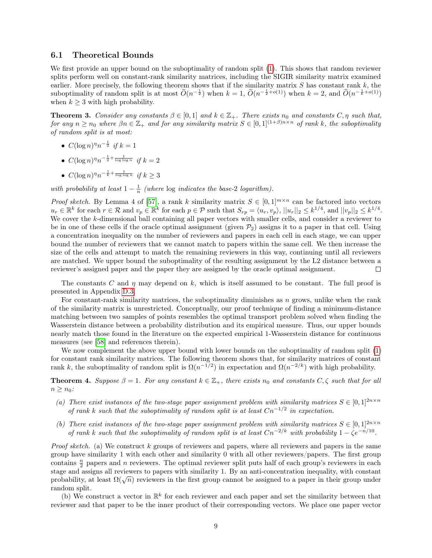#### 6.1 Theoretical Bounds

We first provide an upper bound on the suboptimality of random split  $(1)$ . This shows that random reviewer splits perform well on constant-rank similarity matrices, including the SIGIR similarity matrix examined earlier. More precisely, the following theorem shows that if the similarity matrix  $S$  has constant rank  $k$ , the suboptimality of random split is at most  $\widetilde{O}(n^{-\frac{1}{2}})$  when  $k = 1$ ,  $\widetilde{O}(n^{-\frac{1}{2}+o(1)})$  when  $k = 2$ , and  $\widetilde{O}(n^{-\frac{1}{k}+o(1)})$ when  $k \geq 3$  with high probability.

<span id="page-8-0"></span>**Theorem 3.** Consider any constants  $\beta \in [0,1]$  and  $k \in \mathbb{Z}_+$ . There exists  $n_0$  and constants  $C, \eta$  such that, for any  $n \geq n_0$  where  $\beta n \in \mathbb{Z}_+$  and for any similarity matrix  $S \in [0,1]^{(1+\beta)n \times n}$  of rank k, the suboptimality of random split is at most:

- $C(\log n)^{\eta} n^{-\frac{1}{2}}$  if  $k = 1$
- $C(\log n)^{\eta}n^{-\frac{1}{2}+\frac{1}{\log \log n}}$  if  $k=2$
- $\bullet \ C(\log n)^{\eta}n^{-\frac{1}{k}+\frac{1}{\log\log n}} \ \ if \ k \geq 3$

with probability at least  $1 - \frac{1}{n}$  (where  $\log$  indicates the base-2 logarithm).

*Proof sketch.* By Lemma 4 of [\[57\]](#page-15-8), a rank k similarity matrix  $S \in [0,1]^{m \times n}$  can be factored into vectors  $u_r \in \mathbb{R}^k$  for each  $r \in \mathcal{R}$  and  $v_p \in \mathbb{R}^k$  for each  $p \in \mathcal{P}$  such that  $S_{rp} = \langle u_r, v_p \rangle$ ,  $||u_r||_2 \leq k^{1/4}$ , and  $||v_p||_2 \leq k^{1/4}$ . We cover the k-dimensional ball containing all paper vectors with smaller cells, and consider a reviewer to be in one of these cells if the oracle optimal assignment (given  $\mathcal{P}_2$ ) assigns it to a paper in that cell. Using a concentration inequality on the number of reviewers and papers in each cell in each stage, we can upper bound the number of reviewers that we cannot match to papers within the same cell. We then increase the size of the cells and attempt to match the remaining reviewers in this way, continuing until all reviewers are matched. We upper bound the suboptimality of the resulting assignment by the L2 distance between a reviewer's assigned paper and the paper they are assigned by the oracle optimal assignment. П

The constants C and  $\eta$  may depend on k, which is itself assumed to be constant. The full proof is presented in Appendix [D.3.](#page-20-1)

For constant-rank similarity matrices, the suboptimality diminishes as  $n$  grows, unlike when the rank of the similarity matrix is unrestricted. Conceptually, our proof technique of finding a minimum-distance matching between two samples of points resembles the optimal transport problem solved when finding the Wasserstein distance between a probability distribution and its empirical measure. Thus, our upper bounds nearly match those found in the literature on the expected empirical 1-Wasserstein distance for continuous measures (see [\[58\]](#page-15-9) and references therein).

We now complement the above upper bound with lower bounds on the suboptimality of random split [\(1\)](#page-6-1) for constant rank similarity matrices. The following theorem shows that, for similarity matrices of constant rank k, the suboptimality of random split is  $\Omega(n^{-1/2})$  in expectation and  $\Omega(n^{-2/k})$  with high probability.

<span id="page-8-1"></span>**Theorem 4.** Suppose  $\beta = 1$ . For any constant  $k \in \mathbb{Z}_+$ , there exists  $n_0$  and constants  $C, \zeta$  such that for all  $n \geq n_0$ :

- (a) There exist instances of the two-stage paper assignment problem with similarity matrices  $S \in [0,1]^{2n \times n}$ of rank k such that the suboptimality of random split is at least  $Cn^{-1/2}$  in expectation.
- (b) There exist instances of the two-stage paper assignment problem with similarity matrices  $S \in [0,1]^{2n \times n}$ of rank k such that the suboptimality of random split is at least  $Cn^{-2/k}$  with probability  $1 - \zeta e^{-n/10}$ .

*Proof sketch.* (a) We construct k groups of reviewers and papers, where all reviewers and papers in the same group have similarity 1 with each other and similarity 0 with all other reviewers/papers. The first group contains  $\frac{n}{2}$  papers and n reviewers. The optimal reviewer split puts half of each group's reviewers in each stage and assigns all reviewers to papers with similarity 1. By an anti-concentration inequality, with constant stage and assigns an reviewers to papers with similarity 1. By an anti-concentration mequanty, with constant probability, at least  $\Omega(\sqrt{n})$  reviewers in the first group cannot be assigned to a paper in their group under random split.

(b) We construct a vector in  $\mathbb{R}^k$  for each reviewer and each paper and set the similarity between that reviewer and that paper to be the inner product of their corresponding vectors. We place one paper vector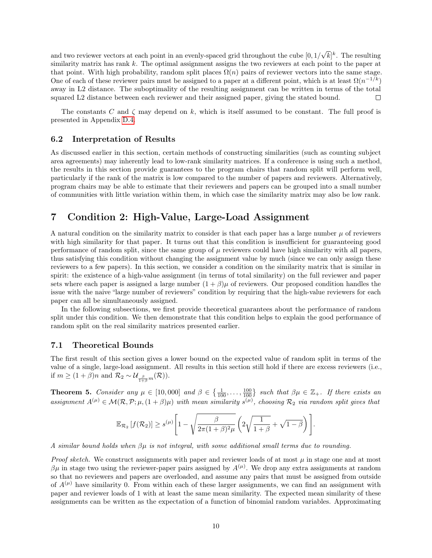√  $\overline{k}|^k$ . The resulting and two reviewer vectors at each point in an evenly-spaced grid throughout the cube  $[0, 1/$ similarity matrix has rank k. The optimal assignment assigns the two reviewers at each point to the paper at that point. With high probability, random split places  $\Omega(n)$  pairs of reviewer vectors into the same stage. One of each of these reviewer pairs must be assigned to a paper at a different point, which is at least  $\Omega(n^{-1/k})$ away in L2 distance. The suboptimality of the resulting assignment can be written in terms of the total squared L2 distance between each reviewer and their assigned paper, giving the stated bound. П

The constants C and  $\zeta$  may depend on k, which is itself assumed to be constant. The full proof is presented in Appendix [D.4.](#page-23-0)

#### 6.2 Interpretation of Results

As discussed earlier in this section, certain methods of constructing similarities (such as counting subject area agreements) may inherently lead to low-rank similarity matrices. If a conference is using such a method, the results in this section provide guarantees to the program chairs that random split will perform well, particularly if the rank of the matrix is low compared to the number of papers and reviewers. Alternatively, program chairs may be able to estimate that their reviewers and papers can be grouped into a small number of communities with little variation within them, in which case the similarity matrix may also be low rank.

# <span id="page-9-0"></span>7 Condition 2: High-Value, Large-Load Assignment

A natural condition on the similarity matrix to consider is that each paper has a large number  $\mu$  of reviewers with high similarity for that paper. It turns out that this condition is insufficient for guaranteeing good performance of random split, since the same group of  $\mu$  reviewers could have high similarity with all papers, thus satisfying this condition without changing the assignment value by much (since we can only assign these reviewers to a few papers). In this section, we consider a condition on the similarity matrix that is similar in spirit: the existence of a high-value assignment (in terms of total similarity) on the full reviewer and paper sets where each paper is assigned a large number  $(1 + \beta)\mu$  of reviewers. Our proposed condition handles the issue with the naive "large number of reviewers" condition by requiring that the high-value reviewers for each paper can all be simultaneously assigned.

In the following subsections, we first provide theoretical guarantees about the performance of random split under this condition. We then demonstrate that this condition helps to explain the good performance of random split on the real similarity matrices presented earlier.

### 7.1 Theoretical Bounds

The first result of this section gives a lower bound on the expected value of random split in terms of the value of a single, large-load assignment. All results in this section still hold if there are excess reviewers (i.e., if  $m \geq (1+\beta)n$  and  $\mathcal{R}_2 \sim \mathcal{U}_{\frac{\beta}{1+\beta}m}(\mathcal{R})$ ).

<span id="page-9-1"></span>**Theorem 5.** Consider any  $\mu \in [10,000]$  and  $\beta \in \{\frac{1}{100},\ldots,\frac{100}{100}\}$  such that  $\beta\mu \in \mathbb{Z}_+$ . If there exists an assignment  $A^{(\mu)} \in \mathcal{M}(\mathcal{R}, \mathcal{P}; \mu, (1+\beta)\mu)$  with mean similarity  $s^{(\mu)}$ , choosing  $\mathcal{R}_2$  via random split gives that

$$
\mathbb{E}_{\mathcal{R}_2}[f(\mathcal{R}_2)] \ge s^{(\mu)} \left[1 - \sqrt{\frac{\beta}{2\pi(1+\beta)^2\mu}} \left(2\sqrt{\frac{1}{1+\beta}} + \sqrt{1-\beta}\right)\right].
$$

A similar bound holds when  $\beta\mu$  is not integral, with some additional small terms due to rounding.

*Proof sketch.* We construct assignments with paper and reviewer loads of at most  $\mu$  in stage one and at most βμ in stage two using the reviewer-paper pairs assigned by  $A<sup>(μ)</sup>$ . We drop any extra assignments at random so that no reviewers and papers are overloaded, and assume any pairs that must be assigned from outside of  $A^{(\mu)}$  have similarity 0. From within each of these larger assignments, we can find an assignment with paper and reviewer loads of 1 with at least the same mean similarity. The expected mean similarity of these assignments can be written as the expectation of a function of binomial random variables. Approximating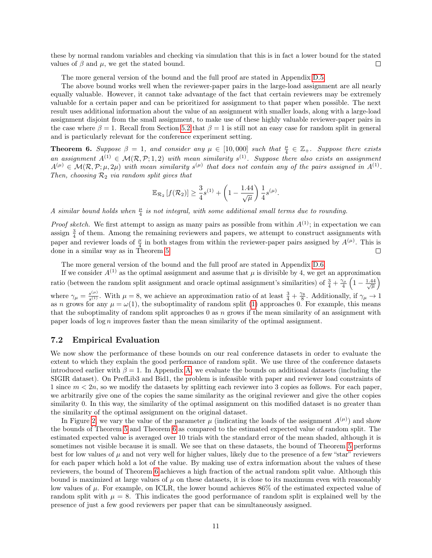these by normal random variables and checking via simulation that this is in fact a lower bound for the stated values of  $\beta$  and  $\mu$ , we get the stated bound.  $\Box$ 

The more general version of the bound and the full proof are stated in Appendix [D.5.](#page-25-0)

The above bound works well when the reviewer-paper pairs in the large-load assignment are all nearly equally valuable. However, it cannot take advantage of the fact that certain reviewers may be extremely valuable for a certain paper and can be prioritized for assignment to that paper when possible. The next result uses additional information about the value of an assignment with smaller loads, along with a large-load assignment disjoint from the small assignment, to make use of these highly valuable reviewer-paper pairs in the case where  $\beta = 1$ . Recall from Section [5.2](#page-7-0) that  $\beta = 1$  is still not an easy case for random split in general and is particularly relevant for the conference experiment setting.

<span id="page-10-0"></span>**Theorem 6.** Suppose  $\beta = 1$ , and consider any  $\mu \in [10,000]$  such that  $\frac{\mu}{4} \in \mathbb{Z}_+$ . Suppose there exists an assignment  $A^{(1)} \in \mathcal{M}(\mathcal{R}, \mathcal{P}; 1, 2)$  with mean similarity  $s^{(1)}$ . Suppose there also exists an assignment  $A^{(\mu)} \in \mathcal{M}(\mathcal{R}, \mathcal{P}; \mu, 2\mu)$  with mean similarity  $s^{(\mu)}$  that does not contain any of the pairs assigned in  $A^{(1)}$ . Then, choosing  $\mathcal{R}_2$  via random split gives that

$$
\mathbb{E}_{\mathcal{R}_2}\left[f(\mathcal{R}_2)\right] \ge \frac{3}{4}s^{(1)} + \left(1 - \frac{1.44}{\sqrt{\mu}}\right)\frac{1}{4}s^{(\mu)}.
$$

A similar bound holds when  $\frac{\mu}{4}$  is not integral, with some additional small terms due to rounding.

*Proof sketch.* We first attempt to assign as many pairs as possible from within  $A^{(1)}$ ; in expectation we can assign  $\frac{3}{4}$  of them. Among the remaining reviewers and papers, we attempt to construct assignments with assign  $_4$  of them. This is paper and reviewer loads of  $\frac{\mu}{4}$  in both stages from within the reviewer-paper pairs assigned by  $A^{(\mu)}$ . This is done in a similar way as in Theorem [5.](#page-9-1)  $\Box$ 

The more general version of the bound and the full proof are stated in Appendix [D.6.](#page-30-0)

If we consider  $A^{(1)}$  as the optimal assignment and assume that  $\mu$  is divisible by 4, we get an approximation ratio (between the random split assignment and oracle optimal assignment's similarities) of  $\frac{3}{4} + \frac{\gamma_{\mu}}{4} \left(1 - \frac{1.44}{\sqrt{\mu}}\right)$ where  $\gamma_{\mu} = \frac{s^{(\mu)}}{s^{(1)}}$  $s^{(\mu)}(s^{(\mu)})$ . With  $\mu = 8$ , we achieve an approximation ratio of at least  $\frac{3}{4} + \frac{\gamma_8}{8}$ . Additionally, if  $\gamma_{\mu} \to 1$ as n grows for any  $\mu = \omega(1)$  $\mu = \omega(1)$ , the suboptimality of random split (1) approaches 0. For example, this means that the suboptimality of random split approaches  $0$  as  $n$  grows if the mean similarity of an assignment with paper loads of  $\log n$  improves faster than the mean similarity of the optimal assignment.

#### <span id="page-10-1"></span>7.2 Empirical Evaluation

We now show the performance of these bounds on our real conference datasets in order to evaluate the extent to which they explain the good performance of random split. We use three of the conference datasets introduced earlier with  $\beta = 1$ . In Appendix [A,](#page-16-0) we evaluate the bounds on additional datasets (including the SIGIR dataset). On PrefLib3 and Bid1, the problem is infeasible with paper and reviewer load constraints of 1 since  $m < 2n$ , so we modify the datasets by splitting each reviewer into 3 copies as follows. For each paper, we arbitrarily give one of the copies the same similarity as the original reviewer and give the other copies similarity 0. In this way, the similarity of the optimal assignment on this modified dataset is no greater than the similarity of the optimal assignment on the original dataset.

In Figure [2,](#page-11-0) we vary the value of the parameter  $\mu$  (indicating the loads of the assignment  $A^{(\mu)}$ ) and show the bounds of Theorem [5](#page-9-1) and Theorem [6](#page-10-0) as compared to the estimated expected value of random split. The estimated expected value is averaged over 10 trials with the standard error of the mean shaded, although it is sometimes not visible because it is small. We see that on these datasets, the bound of Theorem [5](#page-9-1) performs best for low values of  $\mu$  and not very well for higher values, likely due to the presence of a few "star" reviewers for each paper which hold a lot of the value. By making use of extra information about the values of these reviewers, the bound of Theorem [6](#page-10-0) achieves a high fraction of the actual random split value. Although this bound is maximized at large values of  $\mu$  on these datasets, it is close to its maximum even with reasonably low values of  $\mu$ . For example, on ICLR, the lower bound achieves 86% of the estimated expected value of random split with  $\mu = 8$ . This indicates the good performance of random split is explained well by the presence of just a few good reviewers per paper that can be simultaneously assigned.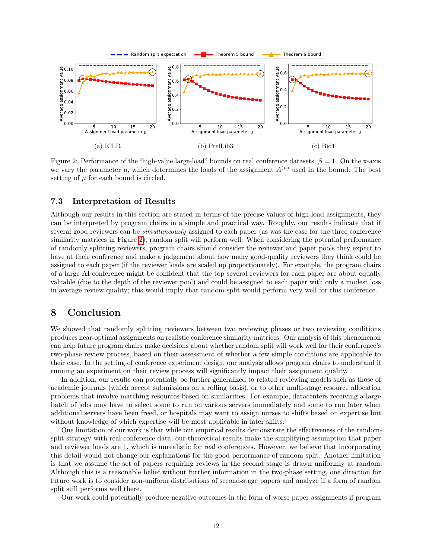<span id="page-11-0"></span>

we vary the parameter  $\mu$ , which determines the loads of the assignment  $A^{(\mu)}$  used in the bound. The best Figure 2: Performance of the "high-value large-load" bounds on real conference datasets,  $\beta = 1$ . On the x-axis setting of  $\mu$  for each bound is circled.

### 7.3 Interpretation of Results

Although our results in this section are stated in terms of the precise values of high-load assignments, they can be interpreted by program chairs in a simple and practical way. Roughly, our results indicate that if several good reviewers can be simultaneously assigned to each paper (as was the case for the three conference similarity matrices in Figure [2\)](#page-11-0), random split will perform well. When considering the potential performance of randomly splitting reviewers, program chairs should consider the reviewer and paper pools they expect to have at their conference and make a judgement about how many good-quality reviewers they think could be assigned to each paper (if the reviewer loads are scaled up proportionately). For example, the program chairs of a large AI conference might be confident that the top several reviewers for each paper are about equally valuable (due to the depth of the reviewer pool) and could be assigned to each paper with only a modest loss in average review quality; this would imply that random split would perform very well for this conference.

## 8 Conclusion

We showed that randomly splitting reviewers between two reviewing phases or two reviewing conditions produces near-optimal assignments on realistic conference similarity matrices. Our analysis of this phenomenon can help future program chairs make decisions about whether random split will work well for their conference's two-phase review process, based on their assessment of whether a few simple conditions are applicable to their case. In the setting of conference experiment design, our analysis allows program chairs to understand if running an experiment on their review process will significantly impact their assignment quality.

In addition, our results can potentially be further generalized to related reviewing models such as those of academic journals (which accept submissions on a rolling basis), or to other multi-stage resource allocation problems that involve matching resources based on similarities. For example, datacenters receiving a large batch of jobs may have to select some to run on various servers immediately and some to run later when additional servers have been freed, or hospitals may want to assign nurses to shifts based on expertise but without knowledge of which expertise will be most applicable in later shifts.

One limitation of our work is that while our empirical results demonstrate the effectiveness of the randomsplit strategy with real conference data, our theoretical results make the simplifying assumption that paper and reviewer loads are 1, which is unrealistic for real conferences. However, we believe that incorporating this detail would not change our explanations for the good performance of random split. Another limitation is that we assume the set of papers requiring reviews in the second stage is drawn uniformly at random. Although this is a reasonable belief without further information in the two-phase setting, one direction for future work is to consider non-uniform distributions of second-stage papers and analyze if a form of random split still performs well there.

Our work could potentially produce negative outcomes in the form of worse paper assignments if program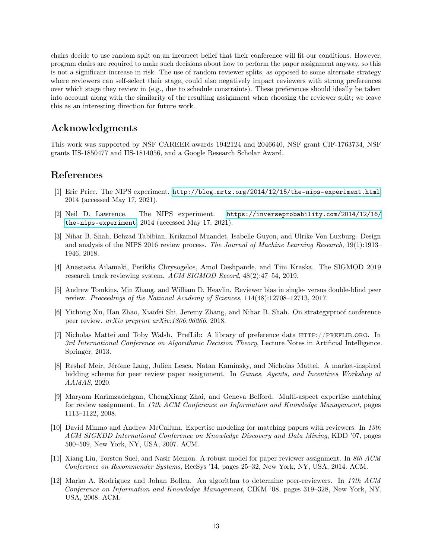chairs decide to use random split on an incorrect belief that their conference will fit our conditions. However, program chairs are required to make such decisions about how to perform the paper assignment anyway, so this is not a significant increase in risk. The use of random reviewer splits, as opposed to some alternate strategy where reviewers can self-select their stage, could also negatively impact reviewers with strong preferences over which stage they review in (e.g., due to schedule constraints). These preferences should ideally be taken into account along with the similarity of the resulting assignment when choosing the reviewer split; we leave this as an interesting direction for future work.

# Acknowledgments

This work was supported by NSF CAREER awards 1942124 and 2046640, NSF grant CIF-1763734, NSF grants IIS-1850477 and IIS-1814056, and a Google Research Scholar Award.

### References

- <span id="page-12-0"></span>[1] Eric Price. The NIPS experiment. <http://blog.mrtz.org/2014/12/15/the-nips-experiment.html>, 2014 (accessed May 17, 2021).
- <span id="page-12-1"></span>[2] Neil D. Lawrence. The NIPS experiment. [https://inverseprobability.com/2014/12/16/](https://inverseprobability.com/2014/12/16/the-nips-experiment) [the-nips-experiment](https://inverseprobability.com/2014/12/16/the-nips-experiment), 2014 (accessed May 17, 2021).
- <span id="page-12-2"></span>[3] Nihar B. Shah, Behzad Tabibian, Krikamol Muandet, Isabelle Guyon, and Ulrike Von Luxburg. Design and analysis of the NIPS 2016 review process. The Journal of Machine Learning Research, 19(1):1913– 1946, 2018.
- <span id="page-12-3"></span>[4] Anastasia Ailamaki, Periklis Chrysogelos, Amol Deshpande, and Tim Kraska. The SIGMOD 2019 research track reviewing system. ACM SIGMOD Record, 48(2):47–54, 2019.
- <span id="page-12-4"></span>[5] Andrew Tomkins, Min Zhang, and William D. Heavlin. Reviewer bias in single- versus double-blind peer review. Proceedings of the National Academy of Sciences, 114(48):12708–12713, 2017.
- <span id="page-12-5"></span>[6] Yichong Xu, Han Zhao, Xiaofei Shi, Jeremy Zhang, and Nihar B. Shah. On strategyproof conference peer review. arXiv preprint arXiv:1806.06266, 2018.
- <span id="page-12-6"></span>[7] Nicholas Mattei and Toby Walsh. PrefLib: A library of preference data http://preflib.org. In 3rd International Conference on Algorithmic Decision Theory, Lecture Notes in Artificial Intelligence. Springer, 2013.
- <span id="page-12-7"></span>[8] Reshef Meir, Jérôme Lang, Julien Lesca, Natan Kaminsky, and Nicholas Mattei. A market-inspired bidding scheme for peer review paper assignment. In Games, Agents, and Incentives Workshop at AAMAS, 2020.
- <span id="page-12-8"></span>[9] Maryam Karimzadehgan, ChengXiang Zhai, and Geneva Belford. Multi-aspect expertise matching for review assignment. In 17th ACM Conference on Information and Knowledge Management, pages 1113–1122, 2008.
- <span id="page-12-9"></span>[10] David Mimno and Andrew McCallum. Expertise modeling for matching papers with reviewers. In 13th ACM SIGKDD International Conference on Knowledge Discovery and Data Mining, KDD '07, pages 500–509, New York, NY, USA, 2007. ACM.
- [11] Xiang Liu, Torsten Suel, and Nasir Memon. A robust model for paper reviewer assignment. In 8th ACM Conference on Recommender Systems, RecSys '14, pages 25–32, New York, NY, USA, 2014. ACM.
- [12] Marko A. Rodriguez and Johan Bollen. An algorithm to determine peer-reviewers. In 17th ACM Conference on Information and Knowledge Management, CIKM '08, pages 319–328, New York, NY, USA, 2008. ACM.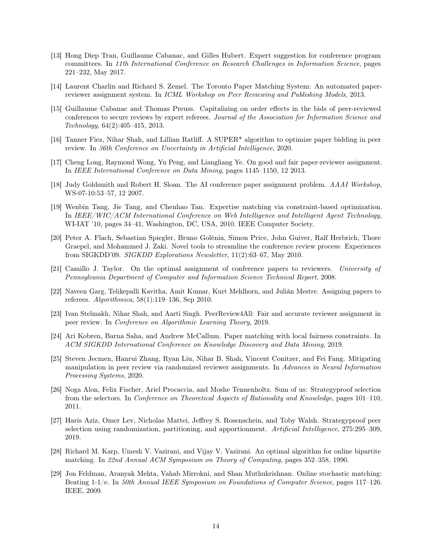- [13] Hong Diep Tran, Guillaume Cabanac, and Gilles Hubert. Expert suggestion for conference program committees. In 11th International Conference on Research Challenges in Information Science, pages 221–232, May 2017.
- <span id="page-13-0"></span>[14] Laurent Charlin and Richard S. Zemel. The Toronto Paper Matching System: An automated paperreviewer assignment system. In ICML Workshop on Peer Reviewing and Publishing Models, 2013.
- <span id="page-13-1"></span>[15] Guillaume Cabanac and Thomas Preuss. Capitalizing on order effects in the bids of peer-reviewed conferences to secure reviews by expert referees. Journal of the Association for Information Science and Technology, 64(2):405–415, 2013.
- <span id="page-13-2"></span>[16] Tanner Fiez, Nihar Shah, and Lillian Ratliff. A SUPER\* algorithm to optimize paper bidding in peer review. In 36th Conference on Uncertainty in Artificial Intelligence, 2020.
- <span id="page-13-3"></span>[17] Cheng Long, Raymond Wong, Yu Peng, and Liangliang Ye. On good and fair paper-reviewer assignment. In IEEE International Conference on Data Mining, pages 1145–1150, 12 2013.
- <span id="page-13-11"></span>[18] Judy Goldsmith and Robert H. Sloan. The AI conference paper assignment problem. AAAI Workshop, WS-07-10:53–57, 12 2007.
- [19] Wenbin Tang, Jie Tang, and Chenhao Tan. Expertise matching via constraint-based optimization. In IEEE/WIC/ACM International Conference on Web Intelligence and Intelligent Agent Technology, WI-IAT '10, pages 34–41, Washington, DC, USA, 2010. IEEE Computer Society.
- <span id="page-13-12"></span>[20] Peter A. Flach, Sebastian Spiegler, Bruno Golénia, Simon Price, John Guiver, Ralf Herbrich, Thore Graepel, and Mohammed J. Zaki. Novel tools to streamline the conference review process: Experiences from SIGKDD'09. SIGKDD Explorations Newsletter, 11(2):63–67, May 2010.
- <span id="page-13-4"></span>[21] Camillo J. Taylor. On the optimal assignment of conference papers to reviewers. University of Pennsylvania Department of Computer and Information Science Technical Report, 2008.
- <span id="page-13-5"></span>[22] Naveen Garg, Telikepalli Kavitha, Amit Kumar, Kurt Mehlhorn, and Julián Mestre. Assigning papers to referees. Algorithmica, 58(1):119–136, Sep 2010.
- [23] Ivan Stelmakh, Nihar Shah, and Aarti Singh. PeerReview4All: Fair and accurate reviewer assignment in peer review. In Conference on Algorithmic Learning Theory, 2019.
- <span id="page-13-6"></span>[24] Ari Kobren, Barna Saha, and Andrew McCallum. Paper matching with local fairness constraints. In ACM SIGKDD International Conference on Knowledge Discovery and Data Mining, 2019.
- <span id="page-13-7"></span>[25] Steven Jecmen, Hanrui Zhang, Ryan Liu, Nihar B. Shah, Vincent Conitzer, and Fei Fang. Mitigating manipulation in peer review via randomized reviewer assignments. In Advances in Neural Information Processing Systems, 2020.
- <span id="page-13-8"></span>[26] Noga Alon, Felix Fischer, Ariel Procaccia, and Moshe Tennenholtz. Sum of us: Strategyproof selection from the selectors. In Conference on Theoretical Aspects of Rationality and Knowledge, pages 101–110, 2011.
- <span id="page-13-9"></span>[27] Haris Aziz, Omer Lev, Nicholas Mattei, Jeffrey S. Rosenschein, and Toby Walsh. Strategyproof peer selection using randomization, partitioning, and apportionment. Artificial Intelligence, 275:295–309, 2019.
- <span id="page-13-10"></span>[28] Richard M. Karp, Umesh V. Vazirani, and Vijay V. Vazirani. An optimal algorithm for online bipartite matching. In 22nd Annual ACM Symposium on Theory of Computing, pages 352–358, 1990.
- [29] Jon Feldman, Aranyak Mehta, Vahab Mirrokni, and Shan Muthukrishnan. Online stochastic matching: Beating 1-1/e. In 50th Annual IEEE Symposium on Foundations of Computer Science, pages 117-126. IEEE, 2009.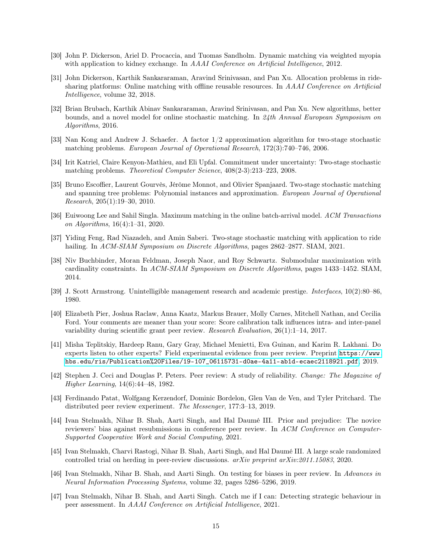- [30] John P. Dickerson, Ariel D. Procaccia, and Tuomas Sandholm. Dynamic matching via weighted myopia with application to kidney exchange. In AAAI Conference on Artificial Intelligence, 2012.
- [31] John Dickerson, Karthik Sankararaman, Aravind Srinivasan, and Pan Xu. Allocation problems in ridesharing platforms: Online matching with offline reusable resources. In AAAI Conference on Artificial Intelligence, volume 32, 2018.
- <span id="page-14-0"></span>[32] Brian Brubach, Karthik Abinav Sankararaman, Aravind Srinivasan, and Pan Xu. New algorithms, better bounds, and a novel model for online stochastic matching. In 24th Annual European Symposium on Algorithms, 2016.
- <span id="page-14-1"></span>[33] Nan Kong and Andrew J. Schaefer. A factor 1/2 approximation algorithm for two-stage stochastic matching problems. European Journal of Operational Research, 172(3):740–746, 2006.
- [34] Irit Katriel, Claire Kenyon-Mathieu, and Eli Upfal. Commitment under uncertainty: Two-stage stochastic matching problems. Theoretical Computer Science, 408(2-3):213–223, 2008.
- [35] Bruno Escoffier, Laurent Gourvès, Jérôme Monnot, and Olivier Spanjaard. Two-stage stochastic matching and spanning tree problems: Polynomial instances and approximation. European Journal of Operational Research, 205(1):19–30, 2010.
- [36] Euiwoong Lee and Sahil Singla. Maximum matching in the online batch-arrival model. ACM Transactions on Algorithms, 16(4):1–31, 2020.
- <span id="page-14-2"></span>[37] Yiding Feng, Rad Niazadeh, and Amin Saberi. Two-stage stochastic matching with application to ride hailing. In ACM-SIAM Symposium on Discrete Algorithms, pages 2862–2877. SIAM, 2021.
- <span id="page-14-3"></span>[38] Niv Buchbinder, Moran Feldman, Joseph Naor, and Roy Schwartz. Submodular maximization with cardinality constraints. In ACM-SIAM Symposium on Discrete Algorithms, pages 1433–1452. SIAM, 2014.
- <span id="page-14-4"></span>[39] J. Scott Armstrong. Unintelligible management research and academic prestige. Interfaces, 10(2):80–86, 1980.
- [40] Elizabeth Pier, Joshua Raclaw, Anna Kaatz, Markus Brauer, Molly Carnes, Mitchell Nathan, and Cecilia Ford. Your comments are meaner than your score: Score calibration talk influences intra- and inter-panel variability during scientific grant peer review. Research Evaluation, 26(1):1–14, 2017.
- [41] Misha Teplitskiy, Hardeep Ranu, Gary Gray, Michael Menietti, Eva Guinan, and Karim R. Lakhani. Do experts listen to other experts? Field experimental evidence from peer review. Preprint [https://www.](https://www.hbs.edu/ris/Publication%20Files/19-107_06115731-d0ae-4a11-ab1d-ecaec2118921.pdf) [hbs.edu/ris/Publication%20Files/19-107\\_06115731-d0ae-4a11-ab1d-ecaec2118921.pdf](https://www.hbs.edu/ris/Publication%20Files/19-107_06115731-d0ae-4a11-ab1d-ecaec2118921.pdf), 2019.
- [42] Stephen J. Ceci and Douglas P. Peters. Peer review: A study of reliability. Change: The Magazine of Higher Learning, 14(6):44–48, 1982.
- <span id="page-14-5"></span>[43] Ferdinando Patat, Wolfgang Kerzendorf, Dominic Bordelon, Glen Van de Ven, and Tyler Pritchard. The distributed peer review experiment. The Messenger, 177:3–13, 2019.
- <span id="page-14-6"></span>[44] Ivan Stelmakh, Nihar B. Shah, Aarti Singh, and Hal Daumé III. Prior and prejudice: The novice reviewers' bias against resubmissions in conference peer review. In ACM Conference on Computer-Supported Cooperative Work and Social Computing, 2021.
- <span id="page-14-7"></span>[45] Ivan Stelmakh, Charvi Rastogi, Nihar B. Shah, Aarti Singh, and Hal Daumé III. A large scale randomized controlled trial on herding in peer-review discussions. arXiv preprint arXiv:2011.15083, 2020.
- <span id="page-14-8"></span>[46] Ivan Stelmakh, Nihar B. Shah, and Aarti Singh. On testing for biases in peer review. In Advances in Neural Information Processing Systems, volume 32, pages 5286–5296, 2019.
- <span id="page-14-9"></span>[47] Ivan Stelmakh, Nihar B. Shah, and Aarti Singh. Catch me if I can: Detecting strategic behaviour in peer assessment. In AAAI Conference on Artificial Intelligence, 2021.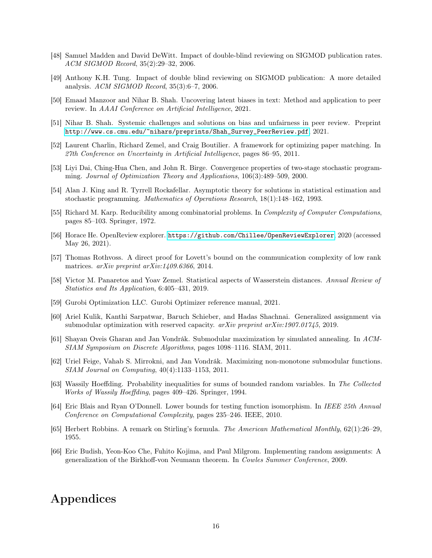- <span id="page-15-0"></span>[48] Samuel Madden and David DeWitt. Impact of double-blind reviewing on SIGMOD publication rates. ACM SIGMOD Record, 35(2):29–32, 2006.
- [49] Anthony K.H. Tung. Impact of double blind reviewing on SIGMOD publication: A more detailed analysis. ACM SIGMOD Record, 35(3):6–7, 2006.
- <span id="page-15-1"></span>[50] Emaad Manzoor and Nihar B. Shah. Uncovering latent biases in text: Method and application to peer review. In AAAI Conference on Artificial Intelligence, 2021.
- <span id="page-15-2"></span>[51] Nihar B. Shah. Systemic challenges and solutions on bias and unfairness in peer review. Preprint [http://www.cs.cmu.edu/~nihars/preprints/Shah\\_Survey\\_PeerReview.pdf](http://www.cs.cmu.edu/~nihars/preprints/Shah_Survey_PeerReview.pdf), 2021.
- <span id="page-15-3"></span>[52] Laurent Charlin, Richard Zemel, and Craig Boutilier. A framework for optimizing paper matching. In 27th Conference on Uncertainty in Artificial Intelligence, pages 86–95, 2011.
- <span id="page-15-4"></span>[53] Liyi Dai, Ching-Hua Chen, and John R. Birge. Convergence properties of two-stage stochastic programming. Journal of Optimization Theory and Applications, 106(3):489–509, 2000.
- <span id="page-15-5"></span>[54] Alan J. King and R. Tyrrell Rockafellar. Asymptotic theory for solutions in statistical estimation and stochastic programming. Mathematics of Operations Research, 18(1):148–162, 1993.
- <span id="page-15-6"></span>[55] Richard M. Karp. Reducibility among combinatorial problems. In *Complexity of Computer Computations*, pages 85–103. Springer, 1972.
- <span id="page-15-7"></span>[56] Horace He. OpenReview explorer. <https://github.com/Chillee/OpenReviewExplorer>, 2020 (accessed May 26, 2021).
- <span id="page-15-8"></span>[57] Thomas Rothvoss. A direct proof for Lovett's bound on the communication complexity of low rank matrices. arXiv preprint arXiv:1409.6366, 2014.
- <span id="page-15-9"></span>[58] Victor M. Panaretos and Yoav Zemel. Statistical aspects of Wasserstein distances. Annual Review of Statistics and Its Application, 6:405–431, 2019.
- <span id="page-15-10"></span>[59] Gurobi Optimization LLC. Gurobi Optimizer reference manual, 2021.
- <span id="page-15-11"></span>[60] Ariel Kulik, Kanthi Sarpatwar, Baruch Schieber, and Hadas Shachnai. Generalized assignment via submodular optimization with reserved capacity.  $arXiv$  preprint  $arXiv:1907.01745$ , 2019.
- <span id="page-15-12"></span>[61] Shayan Oveis Gharan and Jan Vondrák. Submodular maximization by simulated annealing. In ACM-SIAM Symposium on Discrete Algorithms, pages 1098–1116. SIAM, 2011.
- <span id="page-15-13"></span>[62] Uriel Feige, Vahab S. Mirrokni, and Jan Vondrák. Maximizing non-monotone submodular functions. SIAM Journal on Computing, 40(4):1133–1153, 2011.
- <span id="page-15-14"></span>[63] Wassily Hoeffding. Probability inequalities for sums of bounded random variables. In The Collected Works of Wassily Hoeffding, pages 409–426. Springer, 1994.
- <span id="page-15-15"></span>[64] Eric Blais and Ryan O'Donnell. Lower bounds for testing function isomorphism. In IEEE 25th Annual Conference on Computational Complexity, pages 235–246. IEEE, 2010.
- <span id="page-15-16"></span>[65] Herbert Robbins. A remark on Stirling's formula. The American Mathematical Monthly, 62(1):26–29, 1955.
- <span id="page-15-17"></span>[66] Eric Budish, Yeon-Koo Che, Fuhito Kojima, and Paul Milgrom. Implementing random assignments: A generalization of the Birkhoff-von Neumann theorem. In Cowles Summer Conference, 2009.

# Appendices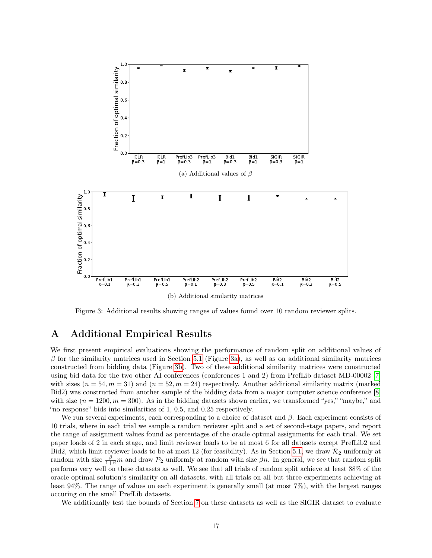<span id="page-16-1"></span>

Figure 3: Additional results showing ranges of values found over 10 random reviewer splits.

# <span id="page-16-0"></span>A Additional Empirical Results

We first present empirical evaluations showing the performance of random split on additional values of  $\beta$  for the similarity matrices used in Section [5](#page-6-0).1 (Figure [3a\)](#page-16-1), as well as on additional similarity matrices constructed from bidding data (Figure [3b\)](#page-16-1). Two of these additional similarity matrices were constructed using bid data for the two other AI conferences (conferences 1 and 2) from PrefLib dataset MD-00002 [\[7\]](#page-12-6) with sizes  $(n = 54, m = 31)$  and  $(n = 52, m = 24)$  respectively. Another additional similarity matrix (marked Bid2) was constructed from another sample of the bidding data from a major computer science conference [\[8\]](#page-12-7) with size  $(n = 1200, m = 300)$ . As in the bidding datasets shown earlier, we transformed "yes," "maybe," and "no response" bids into similarities of 1, 0.5, and 0.25 respectively.

We run several experiments, each corresponding to a choice of dataset and  $\beta$ . Each experiment consists of 10 trials, where in each trial we sample a random reviewer split and a set of second-stage papers, and report the range of assignment values found as percentages of the oracle optimal assignments for each trial. We set paper loads of 2 in each stage, and limit reviewer loads to be at most 6 for all datasets except PrefLib2 and Bid2, which limit reviewer loads to be at most 12 (for feasibility). As in Section [5.1,](#page-6-0) we draw  $\mathcal{R}_2$  uniformly at random with size  $\frac{\beta}{1+\beta}m$  and draw  $\mathcal{P}_2$  uniformly at random with size  $\beta n$ . In general, we see that random split performs very well on these datasets as well. We see that all trials of random split achieve at least 88% of the oracle optimal solution's similarity on all datasets, with all trials on all but three experiments achieving at least 94%. The range of values on each experiment is generally small (at most 7%), with the largest ranges occuring on the small PrefLib datasets.

We additionally test the bounds of Section [7](#page-9-0) on these datasets as well as the SIGIR dataset to evaluate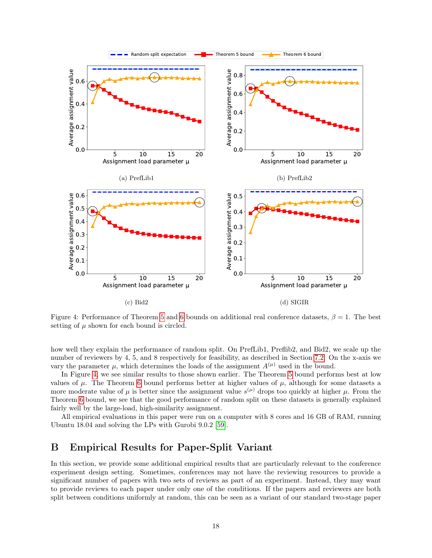<span id="page-17-1"></span>

Figure 4: Performance of Theorem [5](#page-9-1) and [6](#page-10-0) bounds on additional real conference datasets,  $\beta = 1$ . The best setting of  $\mu$  shown for each bound is circled.

how well they explain the performance of random split. On PrefLib1, Preflib2, and Bid2, we scale up the number of reviewers by 4, 5, and 8 respectively for feasibility, as described in Section [7.2.](#page-10-1) On the x-axis we vary the parameter  $\mu$ , which determines the loads of the assignment  $A^{(\mu)}$  used in the bound.

In Figure [4,](#page-17-1) we see similar results to those shown earlier. The Theorem [5](#page-9-1) bound performs best at low values of  $\mu$ . The Theorem [6](#page-10-0) bound performs better at higher values of  $\mu$ , although for some datasets a more moderate value of  $\mu$  is better since the assignment value  $s^{(\mu)}$  drops too quickly at higher  $\mu$ . From the Theorem [6](#page-10-0) bound, we see that the good performance of random split on these datasets is generally explained fairly well by the large-load, high-similarity assignment.

All empirical evaluations in this paper were run on a computer with 8 cores and 16 GB of RAM, running Ubuntu 18.04 and solving the LPs with Gurobi 9.0.2 [\[59\]](#page-15-10).

## <span id="page-17-0"></span>B Empirical Results for Paper-Split Variant

In this section, we provide some additional empirical results that are particularly relevant to the conference experiment design setting. Sometimes, conferences may not have the reviewing resources to provide a significant number of papers with two sets of reviews as part of an experiment. Instead, they may want to provide reviews to each paper under only one of the conditions. If the papers and reviewers are both split between conditions uniformly at random, this can be seen as a variant of our standard two-stage paper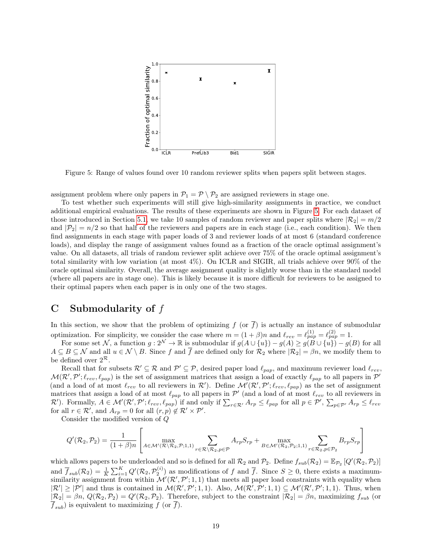<span id="page-18-1"></span>

Figure 5: Range of values found over 10 random reviewer splits when papers split between stages.

assignment problem where only papers in  $\mathcal{P}_1 = \mathcal{P} \setminus \mathcal{P}_2$  are assigned reviewers in stage one.

To test whether such experiments will still give high-similarity assignments in practice, we conduct additional empirical evaluations. The results of these experiments are shown in Figure [5.](#page-18-1) For each dataset of those introduced in Section [5.1,](#page-6-0) we take 10 samples of random reviewer and paper splits where  $|\mathcal{R}_2| = m/2$ and  $|\mathcal{P}_2| = n/2$  so that half of the reviewers and papers are in each stage (i.e., each condition). We then find assignments in each stage with paper loads of 3 and reviewer loads of at most 6 (standard conference loads), and display the range of assignment values found as a fraction of the oracle optimal assignment's value. On all datasets, all trials of random reviewer split achieve over 75% of the oracle optimal assignment's total similarity with low variation (at most 4%). On ICLR and SIGIR, all trials achieve over 90% of the oracle optimal similarity. Overall, the average assignment quality is slightly worse than in the standard model (where all papers are in stage one). This is likely because it is more difficult for reviewers to be assigned to their optimal papers when each paper is in only one of the two stages.

# <span id="page-18-0"></span>C Submodularity of f

In this section, we show that the problem of optimizing f (or  $\overline{f}$ ) is actually an instance of submodular optimization. For simplicity, we consider the case where  $m = (1 + \beta)n$  and  $\ell_{rev} = \ell_{pap}^{(1)} = \ell_{pap}^{(2)} = 1$ .

For some set N, a function  $g: 2^{\mathcal{N}} \to \mathbb{R}$  is submodular if  $g(A \cup \{u\}) - g(A) \ge g(B \cup \{u\}) - g(B)$  for all  $A \subseteq B \subseteq \mathcal{N}$  and all  $u \in \mathcal{N} \setminus B$ . Since f and  $\overline{f}$  are defined only for  $\mathcal{R}_2$  where  $|\mathcal{R}_2| = \beta n$ , we modify them to be defined over  $2^{\mathcal{R}}$ .

Recall that for subsets  $\mathcal{R}' \subseteq \mathcal{R}$  and  $\mathcal{P}' \subseteq \mathcal{P}$ , desired paper load  $\ell_{pap}$ , and maximum reviewer load  $\ell_{rev}$ ,  $\mathcal{M}(\mathcal{R}',\mathcal{P}';\ell_{rev},\ell_{pap})$  is the set of assignment matrices that assign a load of exactly  $\ell_{pap}$  to all papers in  $\mathcal{P}'$ (and a load of at most  $\ell_{rev}$  to all reviewers in  $\mathcal{R}'$ ). Define  $\mathcal{M}'(\mathcal{R}', \mathcal{P}'; \ell_{rev}, \ell_{pap})$  as the set of assignment matrices that assign a load of at most  $\ell_{pap}$  to all papers in  $\mathcal{P}'$  (and a load of at most  $\ell_{rev}$  to all reviewers in  $\mathcal{R}'$ ). Formally,  $A \in \mathcal{M}'(\mathcal{R}', \mathcal{P}'; \ell_{rev}, \ell_{pap})$  if and only if  $\sum_{r \in \mathcal{R}'} A_{rp} \leq \ell_{pap}$  for all  $p \in \mathcal{P}', \sum_{p \in \mathcal{P}'} A_{rp} \leq \ell_{rev}$ for all  $r \in \mathcal{R}'$ , and  $A_{rp} = 0$  for all  $(r, p) \notin \mathcal{R}' \times \mathcal{P}'$ .

Consider the modified version of Q

$$
Q'(\mathcal{R}_2, \mathcal{P}_2) = \frac{1}{(1+\beta)n} \left[ \max_{A \in \mathcal{M}'(\mathcal{R} \setminus \mathcal{R}_2, \mathcal{P}; 1, 1)} \sum_{r \in \mathcal{R} \setminus \mathcal{R}_2, p \in \mathcal{P}} A_{rp} S_{rp} + \max_{B \in \mathcal{M}'(\mathcal{R}_2, \mathcal{P}_2; 1, 1)} \sum_{r \in \mathcal{R}_2, p \in \mathcal{P}_2} B_{rp} S_{rp} \right]
$$

which allows papers to be underloaded and so is defined for all  $\mathcal{R}_2$  and  $\mathcal{P}_2$ . Define  $f_{sub}(\mathcal{R}_2) = \mathbb{E}_{\mathcal{P}_2} [Q'(\mathcal{R}_2, \mathcal{P}_2)]$ and  $\overline{f}_{sub}(\mathcal{R}_2) = \frac{1}{K} \sum_{i=1}^K Q'(\mathcal{R}_2, \mathcal{P}_2^{(i)})$  as modifications of f and  $\overline{f}$ . Since  $S \geq 0$ , there exists a maximumsimilarity assignment from within  $\mathcal{M}'(\mathcal{R}', \mathcal{P}'; 1, 1)$  that meets all paper load constraints with equality when  $|\mathcal{R}'| \geq |\mathcal{P}'|$  and thus is contained in  $\mathcal{M}(\mathcal{R}', \mathcal{P}'; 1, 1)$ . Also,  $\mathcal{M}(\mathcal{R}', \mathcal{P}'; 1, 1) \subseteq \mathcal{M}'(\mathcal{R}', \mathcal{P}'; 1, 1)$ . Thus, when  $|\mathcal{R}_2| = \beta n$ ,  $Q(\mathcal{R}_2, \mathcal{P}_2) = Q'(\mathcal{R}_2, \mathcal{P}_2)$ . Therefore, subject to the constraint  $|\mathcal{R}_2| = \beta n$ , maximizing  $f_{sub}$  (or  $\overline{f}_{sub}$ ) is equivalent to maximizing f (or  $\overline{f}$ ).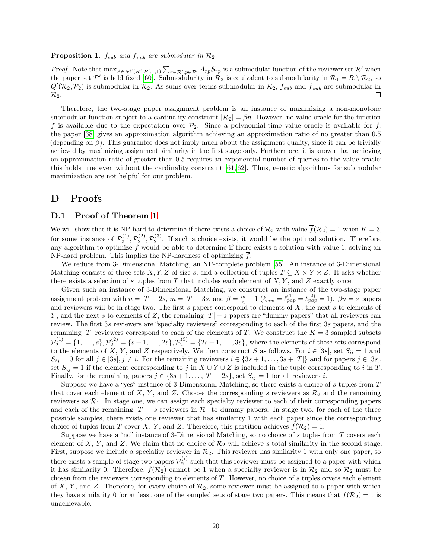#### **Proposition 1.**  $f_{sub}$  and  $\overline{f}_{sub}$  are submodular in  $\mathcal{R}_2$ .

*Proof.* Note that  $\max_{A \in \mathcal{M}'(\mathcal{R}', \mathcal{P}';1,1)} \sum_{r \in \mathcal{R}', p \in \mathcal{P}'} A_{rp} S_{rp}$  is a submodular function of the reviewer set  $\mathcal{R}'$  when the paper set  $\mathcal{P}'$  is held fixed [\[60\]](#page-15-11). Submodularity in  $\mathcal{R}_2$  is equivalent to submodularity in  $\mathcal{R}_1 = \mathcal{R} \setminus \mathcal{R}_2$ , so  $Q'(\mathcal{R}_2,\mathcal{P}_2)$  is submodular in  $\mathcal{R}_2$ . As sums over terms submodular in  $\mathcal{R}_2$ ,  $f_{sub}$  and  $\overline{f}_{sub}$  are submodular in  $\mathcal{R}_2$ .  $\Box$ 

Therefore, the two-stage paper assignment problem is an instance of maximizing a non-monotone submodular function subject to a cardinality constraint  $|\mathcal{R}_2| = \beta n$ . However, no value oracle for the function f is available due to the expectation over  $\mathcal{P}_2$ . Since a polynomial-time value oracle is available for  $\overline{f}$ , the paper [\[38\]](#page-14-3) gives an approximation algorithm achieving an approximation ratio of no greater than 0.5 (depending on  $\beta$ ). This guarantee does not imply much about the assignment quality, since it can be trivially achieved by maximizing assignment similarity in the first stage only. Furthermore, it is known that achieving an approximation ratio of greater than 0.5 requires an exponential number of queries to the value oracle; this holds true even without the cardinality constraint [\[61,](#page-15-12) [62\]](#page-15-13). Thus, generic algorithms for submodular maximization are not helpful for our problem.

## D Proofs

#### <span id="page-19-0"></span>D.1 Proof of Theorem [1](#page-5-1)

We will show that it is NP-hard to determine if there exists a choice of  $\mathcal{R}_2$  with value  $\overline{f}(\mathcal{R}_2) = 1$  when  $K = 3$ , for some instance of  $\mathcal{P}_2^{(1)}, \mathcal{P}_2^{(2)}, \mathcal{P}_2^{(3)}$ . If such a choice exists, it would be the optimal solution. Therefore, any algorithm to optimize  $f$  would be able to determine if there exists a solution with value 1, solving an NP-hard problem. This implies the NP-hardness of optimizing  $\overline{f}$ .

We reduce from 3-Dimensional Matching, an NP-complete problem [\[55\]](#page-15-6). An instance of 3-Dimensional Matching consists of three sets X, Y, Z of size s, and a collection of tuples  $T \subseteq X \times Y \times Z$ . It asks whether there exists a selection of s tuples from T that includes each element of  $X, Y$ , and Z exactly once.

Given such an instance of 3-Dimensional Matching, we construct an instance of the two-stage paper assignment problem with  $n = |T| + 2s$ ,  $m = |T| + 3s$ , and  $\beta = \frac{m}{n} - 1$   $(\ell_{rev} = \ell_{pap}^{(1)} = \ell_{pap}^{(2)} = 1)$ .  $\beta n = s$  papers and reviewers will be in stage two. The first s papers correspond to elements of  $X$ , the next s to elements of Y, and the next s to elements of Z; the remaining  $|T| - s$  papers are "dummy papers" that all reviewers can review. The first 3s reviewers are "specialty reviewers" corresponding to each of the first 3s papers, and the remaining  $|T|$  reviewers correspond to each of the elements of T. We construct the  $K = 3$  sampled subsets  $\mathcal{P}_2^{(1)} = \{1, \ldots, s\}, \mathcal{P}_2^{(2)} = \{s+1, \ldots, 2s\}, \mathcal{P}_2^{(3)} = \{2s+1, \ldots, 3s\},$  where the elements of these sets correspond to the elements of X, Y, and Z respectively. We then construct S as follows. For  $i \in [3s]$ , set  $S_{ii} = 1$  and  $S_{ij} = 0$  for all  $j \in [3s], j \neq i$ . For the remaining reviewers  $i \in \{3s+1,\ldots,3s+|T|\}$  and for papers  $j \in [3s],$ set  $S_{ij} = 1$  if the element corresponding to j in  $X \cup Y \cup Z$  is included in the tuple corresponding to i in T. Finally, for the remaining papers  $j \in \{3s+1,\ldots, |T|+2s\}$ , set  $S_{ij}=1$  for all reviewers i.

Suppose we have a "yes" instance of 3-Dimensional Matching, so there exists a choice of s tuples from T that cover each element of X, Y, and Z. Choose the corresponding s reviewers as  $\mathcal{R}_2$  and the remaining reviewers as  $\mathcal{R}_1$ . In stage one, we can assign each specialty reviewer to each of their corresponding papers and each of the remaining  $|T| - s$  reviewers in  $\mathcal{R}_1$  to dummy papers. In stage two, for each of the three possible samples, there exists one reviewer that has similarity 1 with each paper since the corresponding choice of tuples from T cover X, Y, and Z. Therefore, this partition achieves  $\overline{f}(\mathcal{R}_2) = 1$ .

Suppose we have a "no" instance of 3-Dimensional Matching, so no choice of s tuples from T covers each element of X, Y, and Z. We claim that no choice of  $\mathcal{R}_2$  will achieve s total similarity in the second stage. First, suppose we include a speciality reviewer in  $\mathcal{R}_2$ . This reviewer has similarity 1 with only one paper, so there exists a sample of stage two papers  $\mathcal{P}_2^{(i)}$  such that this reviewer must be assigned to a paper with which it has similarity 0. Therefore,  $\overline{f}(\mathcal{R}_2)$  cannot be 1 when a specialty reviewer is in  $\mathcal{R}_2$  and so  $\mathcal{R}_2$  must be chosen from the reviewers corresponding to elements of T. However, no choice of s tuples covers each element of X, Y, and Z. Therefore, for every choice of  $\mathcal{R}_2$ , some reviewer must be assigned to a paper with which they have similarity 0 for at least one of the sampled sets of stage two papers. This means that  $\bar{f}(\mathcal{R}_2) = 1$  is unachievable.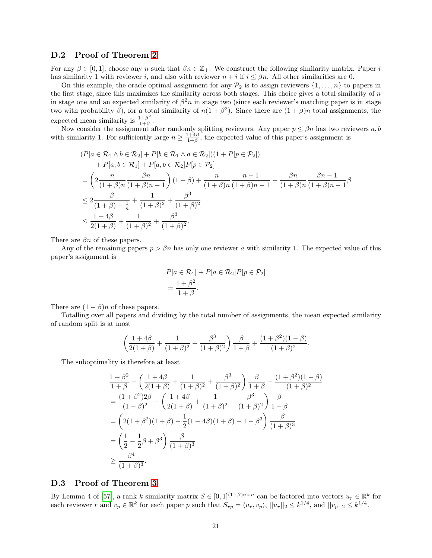### <span id="page-20-0"></span>D.2 Proof of Theorem [2](#page-7-2)

For any  $\beta \in [0,1]$ , choose any n such that  $\beta n \in \mathbb{Z}_+$ . We construct the following similarity matrix. Paper i has similarity 1 with reviewer i, and also with reviewer  $n + i$  if  $i \leq \beta n$ . All other similarities are 0.

On this example, the oracle optimal assignment for any  $\mathcal{P}_2$  is to assign reviewers  $\{1,\ldots,n\}$  to papers in the first stage, since this maximizes the similarity across both stages. This choice gives a total similarity of  $n$ in stage one and an expected similarity of  $\beta^2 n$  in stage two (since each reviewer's matching paper is in stage two with probability  $\beta$ ), for a total similarity of  $n(1+\beta^2)$ . Since there are  $(1+\beta)n$  total assignments, the expected mean similarity is  $\frac{1+\beta^2}{1+\beta}$  $\frac{1+\beta}{1+\beta}$ .

Now consider the assignment after randomly splitting reviewers. Any paper  $p \leq \beta n$  has two reviewers a, b with similarity 1. For sufficiently large  $n \geq \frac{1+4\beta}{1+\beta}$ , the expected value of this paper's assignment is

$$
(P[a \in \mathcal{R}_1 \land b \in \mathcal{R}_2] + P[b \in \mathcal{R}_1 \land a \in \mathcal{R}_2])(1 + P[p \in \mathcal{P}_2])
$$
  
+ P[a, b \in \mathcal{R}\_1] + P[a, b \in \mathcal{R}\_2]P[p \in \mathcal{P}\_2]  
=  $\left(2 \frac{n}{(1+\beta)n} \frac{\beta n}{(1+\beta)n - 1}\right) (1+\beta) + \frac{n}{(1+\beta)n} \frac{n-1}{(1+\beta)n - 1} + \frac{\beta n}{(1+\beta)n} \frac{\beta n-1}{(1+\beta)n - 1}\beta$   
 $\leq 2 \frac{\beta}{(1+\beta) - \frac{1}{n}} + \frac{1}{(1+\beta)^2} + \frac{\beta^3}{(1+\beta)^2}$   
 $\leq \frac{1+4\beta}{2(1+\beta)} + \frac{1}{(1+\beta)^2} + \frac{\beta^3}{(1+\beta)^2}.$ 

There are  $\beta n$  of these papers.

Any of the remaining papers  $p > \beta n$  has only one reviewer a with similarity 1. The expected value of this paper's assignment is

$$
P[a \in \mathcal{R}_1] + P[a \in \mathcal{R}_2]P[p \in \mathcal{P}_2]
$$
  
= 
$$
\frac{1 + \beta^2}{1 + \beta}.
$$

There are  $(1 - \beta)n$  of these papers.

Totalling over all papers and dividing by the total number of assignments, the mean expected similarity of random split is at most

$$
\left(\frac{1+4\beta}{2(1+\beta)}+\frac{1}{(1+\beta)^2}+\frac{\beta^3}{(1+\beta)^2}\right)\frac{\beta}{1+\beta}+\frac{(1+\beta^2)(1-\beta)}{(1+\beta)^2}.
$$

The suboptimality is therefore at least

$$
\frac{1+\beta^2}{1+\beta} - \left(\frac{1+4\beta}{2(1+\beta)} + \frac{1}{(1+\beta)^2} + \frac{\beta^3}{(1+\beta)^2}\right) \frac{\beta}{1+\beta} - \frac{(1+\beta^2)(1-\beta)}{(1+\beta)^2}
$$

$$
= \frac{(1+\beta^2)2\beta}{(1+\beta)^2} - \left(\frac{1+4\beta}{2(1+\beta)} + \frac{1}{(1+\beta)^2} + \frac{\beta^3}{(1+\beta)^2}\right) \frac{\beta}{1+\beta}
$$

$$
= \left(2(1+\beta^2)(1+\beta) - \frac{1}{2}(1+4\beta)(1+\beta) - 1 - \beta^3\right) \frac{\beta}{(1+\beta)^3}
$$

$$
= \left(\frac{1}{2} - \frac{1}{2}\beta + \beta^3\right) \frac{\beta}{(1+\beta)^3}
$$

$$
\geq \frac{\beta^4}{(1+\beta)^3}.
$$

#### <span id="page-20-1"></span>D.3 Proof of Theorem [3](#page-8-0)

By Lemma 4 of [\[57\]](#page-15-8), a rank k similarity matrix  $S \in [0,1]^{(1+\beta)n \times n}$  can be factored into vectors  $u_r \in \mathbb{R}^k$  for each reviewer r and  $v_p \in \mathbb{R}^k$  for each paper p such that  $S_{rp} = \langle u_r, v_p \rangle$ ,  $||u_r||_2 \leq k^{1/4}$ , and  $||v_p||_2 \leq k^{1/4}$ .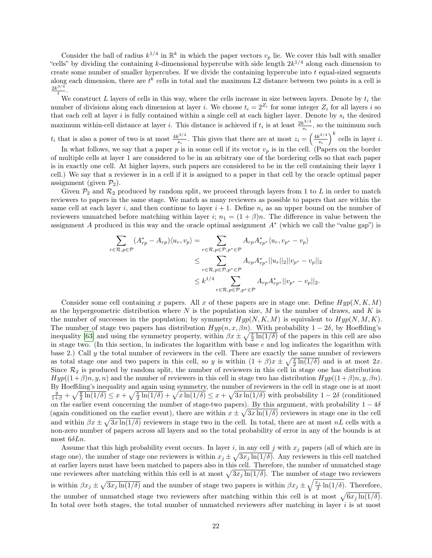Consider the ball of radius  $k^{1/4}$  in  $\mathbb{R}^k$  in which the paper vectors  $v_p$  lie. We cover this ball with smaller "cells" by dividing the containing k-dimensional hypercube with side length  $2k^{1/4}$  along each dimension to create some number of smaller hypercubes. If we divide the containing hypercube into  $t$  equal-sized segments along each dimension, there are  $t^k$  cells in total and the maximum L2 distance between two points in a cell is  $2k^{3/4}$ t .

We construct L layers of cells in this way, where the cells increase in size between layers. Denote by  $t_i$  the number of divisions along each dimension at layer *i*. We choose  $t_i = 2^{Z_i}$  for some integer  $Z_i$  for all layers *i* so that each cell at layer i is fully contained within a single cell at each higher layer. Denote by  $s_i$  the desired maximum within-cell distance at layer *i*. This distance is achieved if  $t_i$  is at least  $\frac{2k^{3/4}}{s_i}$  $\frac{s^{3/4}}{s_i}$ , so the minimum such

 $t_i$  that is also a power of two is at most  $\frac{4k^{3/4}}{s}$  $s_i^{3/4}$ . This gives that there are at most  $z_i = \left(\frac{4k^{3/4}}{s_i}\right)$  $\left(\frac{c^{3/4}}{s_i}\right)^k$  cells in layer *i*.

In what follows, we say that a paper  $p$  is in some cell if its vector  $v_p$  is in the cell. (Papers on the border of multiple cells at layer 1 are considered to be in an arbitrary one of the bordering cells so that each paper is in exactly one cell. At higher layers, such papers are considered to be in the cell containing their layer 1 cell.) We say that a reviewer is in a cell if it is assigned to a paper in that cell by the oracle optimal paper assignment (given  $\mathcal{P}_2$ ).

Given  $\mathcal{P}_2$  and  $\mathcal{R}_2$  produced by random split, we proceed through layers from 1 to L in order to match reviewers to papers in the same stage. We match as many reviewers as possible to papers that are within the same cell at each layer i, and then continue to layer  $i + 1$ . Define  $n_i$  as an upper bound on the number of reviewers unmatched before matching within layer i;  $n_1 = (1 + \beta)n$ . The difference in value between the assignment A produced in this way and the oracle optimal assignment  $A^*$  (which we call the "value gap") is

$$
\sum_{r \in \mathcal{R}, p \in \mathcal{P}} (A_{rp}^* - A_{rp}) \langle u_r, v_p \rangle = \sum_{r \in \mathcal{R}, p \in \mathcal{P}, p^* \in \mathcal{P}} A_{rp} A_{rp^*}^* \langle u_r, v_{p^*} - v_p \rangle
$$
  
\n
$$
\leq \sum_{r \in \mathcal{R}, p \in \mathcal{P}, p^* \in \mathcal{P}} A_{rp} A_{rp^*}^* ||u_r||_2 ||v_{p^*} - v_p||_2
$$
  
\n
$$
\leq k^{1/4} \sum_{r \in \mathcal{R}, p \in \mathcal{P}, p^* \in \mathcal{P}} A_{rp} A_{rp^*}^* ||v_{p^*} - v_p||_2.
$$

Consider some cell containing x papers. All x of these papers are in stage one. Define  $Hyp(N, K, M)$ as the hypergeometric distribution where  $N$  is the population size,  $M$  is the number of draws, and  $K$  is the number of successes in the population; by symmetry  $Hyp(N, K, M)$  is equivalent to  $Hyp(N, M, K)$ . The number of stage two papers has distribution  $Hyp(n, x, \beta n)$ . With probability  $1 - 2\delta$ , by Hoeffding's inequality [\[63\]](#page-15-14) and using the symmetry property, within  $\beta x \pm \sqrt{\frac{x}{2} \ln(1/\delta)}$  of the papers in this cell are also in stage two. (In this section, ln indicates the logarithm with base  $e$  and log indicates the logarithm with base 2.) Call  $y$  the total number of reviewers in the cell. There are exactly the same number of reviewers as total stage one and two papers in this cell, so y is within  $(1 + \beta)x \pm \sqrt{\frac{x}{2} \ln(1/\delta)}$  and is at most 2x. Since  $\mathcal{R}_2$  is produced by random split, the number of reviewers in this cell in stage one has distribution  $Hyp((1+\beta)n, y, n)$  and the number of reviewers in this cell in stage two has distribution  $Hyp((1+\beta)n, y, \beta n)$ . By Hoeffding's inequality and again using symmetry, the number of reviewers in the cell in stage one is at most  $\frac{y}{1+\beta} + \sqrt{\frac{y}{2}\ln(1/\delta)} \leq x + \sqrt{\frac{x}{2}\ln(1/\delta)} + \sqrt{x\ln(1/\delta)} \leq x + \sqrt{3x\ln(1/\delta)}$  with probability  $1-2\delta$  (conditioned on the earlier event concerning the number of stage-two papers). By this argument, with probability  $1 - 4\delta$ (again conditioned on the earlier event), there are within  $x \pm \sqrt{3x \ln(1/\delta)}$  reviewers in stage one in the cell and within  $\beta x \pm \sqrt{3x \ln(1/\delta)}$  reviewers in stage two in the cell. In total, there are at most nL cells with a non-zero number of papers across all layers and so the total probability of error in any of the bounds is at most  $6\delta Ln$ .

Assume that this high probability event occurs. In layer i, in any cell j with  $x_i$  papers (all of which are in stage one), the number of stage one reviewers is within  $x_j \pm \sqrt{3x_j \ln(1/\delta)}$ . Any reviewers in this cell matched at earlier layers must have been matched to papers also in this cell. Therefore, the number of unmatched stage one reviewers after matching within this cell is at most  $\sqrt{3x_j \ln(1/\delta)}$ . The number of stage two reviewers is within  $\beta x_j \pm \sqrt{3x_j \ln(1/\delta)}$  and the number of stage two papers is within  $\beta x_j \pm \sqrt{\frac{x_j}{2} \ln(1/\delta)}$ . Therefore, the number of unmatched stage two reviewers after matching within this cell is at most  $\sqrt{6x_j \ln(1/\delta)}$ . In total over both stages, the total number of unmatched reviewers after matching in layer  $i$  is at most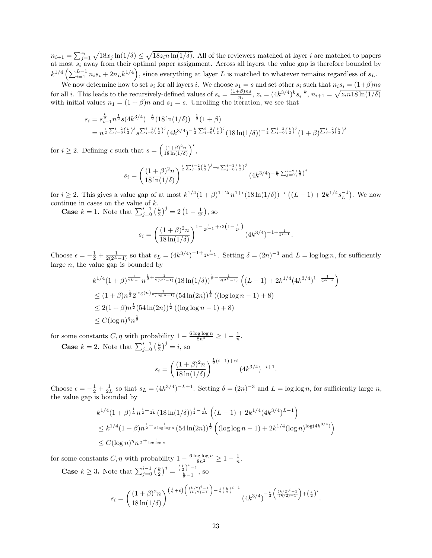$n_{i+1} = \sum_{j=1}^{z_i} \sqrt{18x_j \ln(1/\delta)} \le \sqrt{18z_i n \ln(1/\delta)}$ . All of the reviewers matched at layer *i* are matched to papers at most  $s_i$  away from their optimal paper assignment. Across all layers, the value gap is therefore bounded by  $k^{1/4}\left(\sum_{i=1}^{L-1} n_i s_i + 2n_L k^{1/4}\right)$ , since everything at layer L is matched to whatever remains regardless of  $s_L$ .

We now determine how to set  $s_i$  for all layers i. We choose  $s_1 = s$  and set other  $s_i$  such that  $n_i s_i = (1+\beta)ns$ for all *i*. This leads to the recursively-defined values of  $s_i = \frac{(1+\beta)ns}{n}$  $\frac{\tau_{\beta}^{(2)} n s}{n_i}$ ,  $z_i = (4k^{3/4})^k s_i^{-k}$ ,  $n_{i+1} = \sqrt{z_i n 18 \ln(1/\delta)}$ with initial values  $n_1 = (1 + \beta)n$  and  $s_1 = s$ . Unrolling the iteration, we see that

$$
s_i = s_{i-1}^{\frac{k}{2}} n^{\frac{1}{2}} s (4k^{3/4})^{-\frac{k}{2}} (18 \ln(1/\delta))^{-\frac{1}{2}} (1+\beta)
$$
  
= 
$$
n^{\frac{1}{2} \sum_{j=0}^{i-2} (\frac{k}{2})^j} s^{\sum_{j=0}^{i-1} (\frac{k}{2})^j} (4k^{3/4})^{-\frac{k}{2} \sum_{j=0}^{i-2} (\frac{k}{2})^j} (18 \ln(1/\delta))^{-\frac{1}{2} \sum_{j=0}^{i-2} (\frac{k}{2})^j} (1+\beta)^{\sum_{j=0}^{i-2} (\frac{k}{2})^j}
$$

for  $i \geq 2$ . Defining  $\epsilon$  such that  $s = \left(\frac{(1+\beta)^2 n}{18 \ln(1/\delta)}\right)$  $\frac{(1+\beta)^2n}{18\ln(1/\delta)}\bigg)^{\epsilon},$ 

$$
s_i = \left(\frac{(1+\beta)^2 n}{18\ln(1/\delta)}\right)^{\frac{1}{2}\sum_{j=0}^{i-2}\left(\frac{k}{2}\right)^j + \epsilon \sum_{j=0}^{i-1}\left(\frac{k}{2}\right)^j} (4k^{3/4})^{-\frac{k}{2}\sum_{j=0}^{i-2}\left(\frac{k}{2}\right)^j}
$$

for  $i \geq 2$ . This gives a value gap of at most  $k^{1/4} (1+\beta)^{1+2\epsilon} n^{1+\epsilon} (18 \ln(1/\delta))^{-\epsilon} ((L-1) + 2k^{1/4} s_L^{-1})$ . We now continue in cases on the value of k.

**Case**  $k = 1$ . Note that  $\sum_{j=0}^{i-1} \left(\frac{k}{2}\right)^j = 2\left(1 - \frac{1}{2^i}\right)$ , so

$$
s_i = \left(\frac{(1+\beta)^2 n}{18\ln(1/\delta)}\right)^{1-\frac{1}{2^{i-1}}+\epsilon 2\left(1-\frac{1}{2^i}\right)} \left(4k^{3/4}\right)^{-1+\frac{1}{2^{i-1}}}.
$$

Choose  $\epsilon = -\frac{1}{2} + \frac{1}{2(2^L-1)}$  so that  $s_L = (4k^{3/4})^{-1+\frac{1}{2^L-1}}$ . Setting  $\delta = (2n)^{-3}$  and  $L = \log \log n$ , for sufficiently large  $n$ , the value gap is bounded by

$$
k^{1/4} (1+\beta)^{\frac{1}{2^L-1}} n^{\frac{1}{2} + \frac{1}{2(2^L-1)}} (18\ln(1/\delta))^{\frac{1}{2} - \frac{1}{2(2^L-1)}} ((L-1) + 2k^{1/4} (4k^{3/4})^{1-\frac{1}{2^L-1}})
$$
  
\n
$$
\leq (1+\beta)n^{\frac{1}{2}} 2^{\log(n)\frac{1}{2(\log n - 1)}} (54\ln(2n))^{\frac{1}{2}} ((\log \log n - 1) + 8)
$$
  
\n
$$
\leq 2(1+\beta)n^{\frac{1}{2}} (54\ln(2n))^{\frac{1}{2}} ((\log \log n - 1) + 8)
$$
  
\n
$$
\leq C(\log n)^{\eta} n^{\frac{1}{2}}
$$

for some constants  $C, \eta$  with probability  $1 - \frac{6 \log \log n}{8n^2} \geq 1 - \frac{1}{n}$ .

**Case**  $k = 2$ . Note that  $\sum_{j=0}^{i-1} \left(\frac{k}{2}\right)^j = i$ , so

$$
s_i = \left(\frac{(1+\beta)^2 n}{18\ln(1/\delta)}\right)^{\frac{1}{2}(i-1)+\epsilon i} (4k^{3/4})^{-i+1}.
$$

Choose  $\epsilon = -\frac{1}{2} + \frac{1}{2L}$  so that  $s_L = (4k^{3/4})^{-L+1}$ . Setting  $\delta = (2n)^{-3}$  and  $L = \log \log n$ , for sufficiently large n, the value gap is bounded by

$$
k^{1/4} (1+\beta)^{\frac{1}{L}} n^{\frac{1}{2} + \frac{1}{2L}} (18\ln(1/\delta))^{\frac{1}{2} - \frac{1}{2L}} \left( (L-1) + 2k^{1/4} (4k^{3/4})^{L-1} \right)
$$
  
\n
$$
\leq k^{1/4} (1+\beta) n^{\frac{1}{2} + \frac{1}{2\log\log n}} (54\ln(2n))^{\frac{1}{2}} \left( (\log\log n - 1) + 2k^{1/4} (\log n)^{\log(4k^{3/4})} \right)
$$
  
\n
$$
\leq C(\log n)^{\eta} n^{\frac{1}{2} + \frac{1}{\log\log n}}
$$

for some constants  $C, \eta$  with probability  $1 - \frac{6 \log \log n}{8n^2} \geq 1 - \frac{1}{n}$ .

**Case**  $k \ge 3$ . Note that  $\sum_{j=0}^{i-1} \left(\frac{k}{2}\right)^j = \frac{\left(\frac{k}{2}\right)^i - 1}{\frac{k}{2} - 1}$ , so

$$
s_i = \left(\frac{(1+\beta)^2 n}{18\ln(1/\delta)}\right)^{\left(\frac{1}{2}+\epsilon\right)\left(\frac{(k/2)^i-1}{(k/2)-1}\right) - \frac{1}{2}\left(\frac{k}{2}\right)^{i-1}} \left(4k^{3/4}\right)^{-\frac{k}{2}\left(\frac{(k/2)^i-1}{(k/2)-1}\right) + \left(\frac{k}{2}\right)^i}.
$$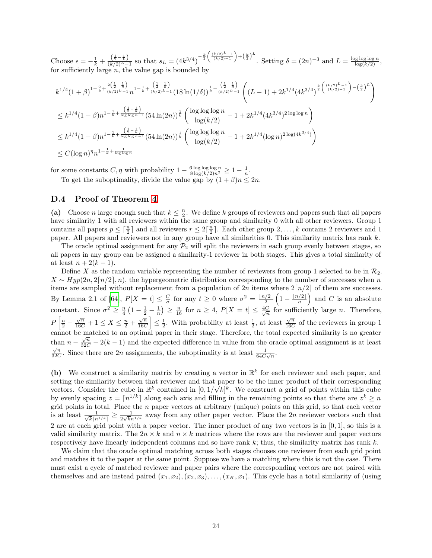Choose  $\epsilon = -\frac{1}{k} + \frac{\left(\frac{1}{2} - \frac{1}{k}\right)}{(k/2)^{L} - 1}$  so that  $s_L = (4k^{3/4})^{-\frac{k}{2}} \left(\frac{(k/2)^{L} - 1}{(k/2) - 1}\right) + \left(\frac{k}{2}\right)^{L}$ . Setting  $\delta = (2n)^{-3}$  and  $L = \frac{\log \log \log n}{\log (k/2)}$ , for sufficiently large  $n$ , the value gap is bounded by

$$
k^{1/4} (1+\beta)^{1-\frac{2}{k}+\frac{2(\frac{1}{2}-\frac{1}{k})}{(k/2)L-1}} n^{1-\frac{1}{k}+\frac{(\frac{1}{2}-\frac{1}{k})}{(k/2)L-1}} (18\ln(1/\delta))^{\frac{1}{k}-\frac{(\frac{1}{2}-\frac{1}{k})}{(k/2)L-1}} \left( (L-1)+2k^{1/4}(4k^{3/4})^{\frac{k}{2}(\frac{(k/2)L-1}{(k/2)-1})-(\frac{k}{2})^L} \right)
$$
  
\n
$$
\leq k^{1/4} (1+\beta)n^{1-\frac{1}{k}+\frac{(\frac{1}{2}-\frac{1}{k})}{\log\log n}} (54\ln(2n))^{\frac{1}{k}} \left( \frac{\log\log\log n}{\log(k/2)} - 1 + 2k^{1/4}(4k^{3/4})^{2\log\log n} \right)
$$
  
\n
$$
\leq k^{1/4} (1+\beta)n^{1-\frac{1}{k}+\frac{(\frac{1}{2}-\frac{1}{k})}{\log\log n}} (54\ln(2n))^{\frac{1}{k}} \left( \frac{\log\log\log n}{\log(k/2)} - 1 + 2k^{1/4}(\log n)^{2\log(4k^{3/4})} \right)
$$
  
\n
$$
\leq C(\log n)^{\eta} n^{1-\frac{1}{k}+\frac{1}{\log\log n}}
$$

for some constants  $C, \eta$  with probability  $1 - \frac{6 \log \log \log n}{8 \log (k/2)n^2} \geq 1 - \frac{1}{n}$ .

To get the suboptimality, divide the value gap by  $(1 + \beta)n \leq 2n$ .

### <span id="page-23-0"></span>D.4 Proof of Theorem [4](#page-8-1)

(a) Choose *n* large enough such that  $k \leq \frac{n}{2}$ . We define k groups of reviewers and papers such that all papers have similarity 1 with all reviewers within the same group and similarity 0 with all other reviewers. Group 1 contains all papers  $p \leq \lceil \frac{n}{2} \rceil$  and all reviewers  $r \leq 2\lceil \frac{n}{2} \rceil$ . Each other group  $2, \ldots, k$  contains 2 reviewers and 1 paper. All papers and reviewers not in any group have all similarities 0. This similarity matrix has rank k.

The oracle optimal assignment for any  $\mathcal{P}_2$  will split the reviewers in each group evenly between stages, so all papers in any group can be assigned a similarity-1 reviewer in both stages. This gives a total similarity of at least  $n + 2(k - 1)$ .

Define X as the random variable representing the number of reviewers from group 1 selected to be in  $\mathcal{R}_2$ .  $X \sim Hyp(2n, 2\lceil n/2 \rceil, n)$ , the hypergeometric distribution corresponding to the number of successes when n items are sampled without replacement from a population of 2n items where  $2\lceil n/2 \rceil$  of them are successes. By Lemma 2.1 of [\[64\]](#page-15-15),  $P[X = t] \leq \frac{C}{\sigma}$  for any  $t \geq 0$  where  $\sigma^2 = \frac{\lceil n/2 \rceil}{2}$  $\frac{\sqrt{2}}{2}\left(1-\frac{\lceil n/2\rceil}{n}\right)$  $\binom{n}{2}$  and C is an absolute constant. Since  $\sigma^2 \geq \frac{n}{4} \left(1 - \frac{1}{2} - \frac{1}{n}\right) \geq \frac{n}{16}$  for  $n \geq 4$ ,  $P[X = t] \leq \frac{4C}{\sqrt{n}}$  for sufficiently large *n*. Therefore,  $P\left[\frac{n}{2} - \frac{\sqrt{n}}{16C} + 1 \leq X \leq \frac{n}{2} + \frac{\sqrt{n}}{16C}\right]$  $\left|\frac{\sqrt{n}}{16C}\right| \leq \frac{1}{2}$ . With probability at least  $\frac{1}{2}$ , at least  $\frac{\sqrt{n}}{16C}$  $\frac{\sqrt{n}}{16C}$  of the reviewers in group 1 cannot be matched to an optimal paper in their stage. Therefore, the total expected similarity is no greater √ than  $n - \frac{\sqrt{n}}{32C} + 2(k-1)$  and the expected difference in value from the oracle optimal assignment is at least  $\overline{n}$  $\frac{\sqrt{n}}{32C}$ . Since there are 2n assignments, the suboptimality is at least  $\frac{1}{64C\sqrt{n}}$ .

(b) We construct a similarity matrix by creating a vector in  $\mathbb{R}^k$  for each reviewer and each paper, and setting the similarity between that reviewer and that paper to be the inner product of their corresponding vectors. Consider the cube in  $\mathbb{R}^k$  contained in  $[0, 1/\sqrt{k}]^k$ . We construct a grid of points within this cube by evenly spacing  $z = \lceil n^{1/k} \rceil$  along each axis and filling in the remaining points so that there are  $z^k \ge n$ grid points in total. Place the n paper vectors at arbitrary (unique) points on this grid, so that each vector is at least  $\frac{1}{\sqrt{L} \ln L}$  $\frac{1}{\overline{k}\lceil n^{1/k}\rceil} \geq \frac{1}{2\sqrt{k}n}$  $\frac{1}{2\sqrt{k}n^{1/k}}$  away from any other paper vector. Place the 2n reviewer vectors such that 2 are at each grid point with a paper vector. The inner product of any two vectors is in [0, 1], so this is a valid similarity matrix. The  $2n \times k$  and  $n \times k$  matrices where the rows are the reviewer and paper vectors respectively have linearly independent columns and so have rank k; thus, the similarity matrix has rank k.

We claim that the oracle optimal matching across both stages chooses one reviewer from each grid point and matches it to the paper at the same point. Suppose we have a matching where this is not the case. There must exist a cycle of matched reviewer and paper pairs where the corresponding vectors are not paired with themselves and are instead paired  $(x_1, x_2), (x_2, x_3), \ldots, (x_K, x_1)$ . This cycle has a total similarity of (using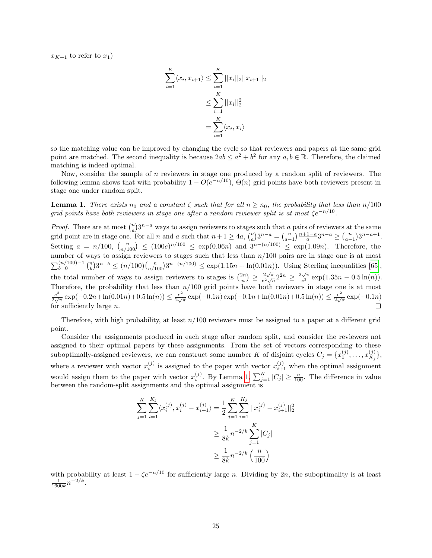$x_{K+1}$  to refer to  $x_1$ )

$$
\sum_{i=1}^{K} \langle x_i, x_{i+1} \rangle \le \sum_{i=1}^{K} ||x_i||_2 ||x_{i+1}||_2
$$
  

$$
\le \sum_{i=1}^{K} ||x_i||_2^2
$$
  

$$
= \sum_{i=1}^{K} \langle x_i, x_i \rangle
$$

so the matching value can be improved by changing the cycle so that reviewers and papers at the same grid point are matched. The second inequality is because  $2ab \le a^2 + b^2$  for any  $a, b \in \mathbb{R}$ . Therefore, the claimed matching is indeed optimal.

Now, consider the sample of  $n$  reviewers in stage one produced by a random split of reviewers. The following lemma shows that with probability  $1 - O(e^{-n/10})$ ,  $\Theta(n)$  grid points have both reviewers present in stage one under random split.

<span id="page-24-0"></span>**Lemma 1.** There exists  $n_0$  and a constant  $\zeta$  such that for all  $n \geq n_0$ , the probability that less than  $n/100$ grid points have both reviewers in stage one after a random reviewer split is at most  $\zeta e^{-n/10}$ .

*Proof.* There are at most  $\binom{n}{a}3^{n-a}$  ways to assign reviewers to stages such that a pairs of reviewers at the same and point are in stage one. For all n and a such that  $n + 1 \ge 4a$ ,  $\binom{n}{a}3^{n-a} = \binom{n}{a-1} \frac{n+1-a}{a} 3^{n-a} \ge \binom{n}{a-1} 3^{n-a+1}$ . Setting  $a = n/100$ ,  $\binom{n}{n/100} \le (100e)^{n/100} \le \exp(0.06n)$  and  $3^{n-(n/100)} \le \exp(1.09n)$ . Therefore, the number of ways to assign reviewers to stages such that less than  $n/100$  pairs are in stage one is at most  $\sum_{b=0}^{(n/100)-1} {n \choose b} 3^{n-b} \le (n/100) {n \choose n/100} 3^{n-(n/100)} \le \exp(1.15n + \ln(0.01n)).$  Using Sterling inequalities [\[65\]](#page-15-16), the total number of ways to assign reviewers to stages is  $\binom{2n}{n} \geq \frac{2\sqrt{\pi}}{e^2\sqrt{r}}$  $\frac{2\sqrt{\pi}}{e^2\sqrt{n}}2^{2n} \geq \frac{2\sqrt{\pi}}{e^2}$  $\frac{\sqrt{\pi}}{e^2} \exp(1.35n - 0.5 \ln(n)).$ Therefore, the probability that less than  $n/100$  grid points have both reviewers in stage one is at most  $e^2$  $\frac{e^2}{2\sqrt{\pi}} \exp(-0.2n + \ln(0.01n) + 0.5\ln(n)) \leq \frac{e^2}{2\sqrt{\pi}}$  $\frac{e^2}{2\sqrt{\pi}}\exp(-0.1n)\exp(-0.1n+\ln(0.01n)+0.5\ln(n))\leq \frac{e^2}{2\sqrt{\pi}}$  $\frac{e^2}{2\sqrt{\pi}}\exp(-0.1n)$ for sufficiently large  $n$ .

Therefore, with high probability, at least  $n/100$  reviewers must be assigned to a paper at a different grid point.

Consider the assignments produced in each stage after random split, and consider the reviewers not assigned to their optimal papers by these assignments. From the set of vectors corresponding to these suboptimally-assigned reviewers, we can construct some number K of disjoint cycles  $C_j = \{x_1^{(j)}, \ldots, x_{K_j}^{(j)}\}$  $\{X_j \}_{j}$ where a reviewer with vector  $x_i^{(j)}$  is assigned to the paper with vector  $x_{i+1}^{(j)}$  when the optimal assignment i would assign them to the paper with vector  $x_i^{(j)}$ . By Lemma [1,](#page-24-0)  $\sum_{j=1}^K |C_j| \ge \frac{n}{100}$ . The difference in value between the random-split assignments and the optimal assignment is

$$
\sum_{j=1}^{K} \sum_{i=1}^{K_j} \langle x_i^{(j)}, x_i^{(j)} - x_{i+1}^{(j)} \rangle = \frac{1}{2} \sum_{j=1}^{K} \sum_{i=1}^{K_j} ||x_i^{(j)} - x_{i+1}^{(j)}||_2^2
$$
  

$$
\geq \frac{1}{8k} n^{-2/k} \sum_{j=1}^{K} |C_j|
$$
  

$$
\geq \frac{1}{8k} n^{-2/k} \left(\frac{n}{100}\right)
$$

with probability at least  $1 - \zeta e^{-n/10}$  for sufficiently large *n*. Dividing by 2*n*, the suboptimality is at least  $\frac{1}{1600k}n^{-2/k}$ .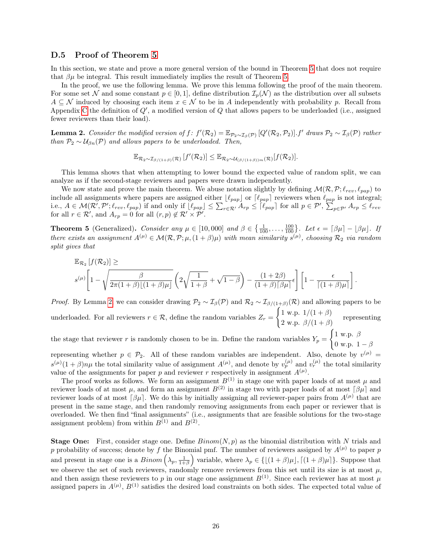### <span id="page-25-0"></span>D.5 Proof of Theorem [5](#page-9-1)

In this section, we state and prove a more general version of the bound in Theorem [5](#page-9-1) that does not require that  $\beta\mu$  be integral. This result immediately implies the result of Theorem [5.](#page-9-1)

In the proof, we use the following lemma. We prove this lemma following the proof of the main theorem. For some set N and some constant  $p \in [0,1]$ , define distribution  $\mathcal{I}_p(\mathcal{N})$  as the distribution over all subsets  $A \subseteq \mathcal{N}$  induced by choosing each item  $x \in \mathcal{N}$  to be in A independently with probability p. Recall from Appendix [C](#page-18-0) the definition of  $Q'$ , a modified version of  $Q$  that allows papers to be underloaded (i.e., assigned fewer reviewers than their load).

<span id="page-25-1"></span>**Lemma 2.** Consider the modified version of  $f: f'(\mathcal{R}_2) = \mathbb{E}_{\mathcal{P}_2 \sim \mathcal{I}_{\beta}(\mathcal{P})} [Q'(\mathcal{R}_2, \mathcal{P}_2)].$  If draws  $\mathcal{P}_2 \sim \mathcal{I}_{\beta}(\mathcal{P})$  rather than  $P_2 \sim U_{\beta n}(P)$  and allows papers to be underloaded. Then,

$$
\mathbb{E}_{\mathcal{R}_2 \sim \mathcal{I}_{\beta/(1+\beta)}(\mathcal{R})} [f'(\mathcal{R}_2)] \leq \mathbb{E}_{\mathcal{R}_2 \sim \mathcal{U}_{(\beta/(1+\beta))m}(\mathcal{R})} [f(\mathcal{R}_2)].
$$

This lemma shows that when attempting to lower bound the expected value of random split, we can analyze as if the second-stage reviewers and papers were drawn independently.

We now state and prove the main theorem. We abuse notation slightly by defining  $\mathcal{M}(\mathcal{R}, \mathcal{P}; \ell_{rev}, \ell_{pap})$  to include all assignments where papers are assigned either  $\lfloor \ell_{pap} \rfloor$  or  $\lceil \ell_{pap} \rceil$  reviewers when  $\ell_{pap}$  is not integral; i.e.,  $A \in \mathcal{M}(\mathcal{R}', \mathcal{P}'; \ell_{rev}, \ell_{pap})$  if and only if  $\lfloor \ell_{pap} \rfloor \leq \sum_{r \in \mathcal{R}'} A_{rp} \leq \lceil \ell_{pap} \rceil$  for all  $p \in \mathcal{P}', \sum_{p \in \mathcal{P}'} A_{rp} \leq \ell_{rev}$ for all  $r \in \mathcal{R}'$ , and  $A_{rp} = 0$  for all  $(r, p) \notin \mathcal{R}' \times \mathcal{P}'$ .

**Theorem 5** (Generalized). Consider any  $\mu \in [10,000]$  and  $\beta \in \{\frac{1}{100},\ldots,\frac{100}{100}\}$ . Let  $\epsilon = [\beta\mu] - [\beta\mu]$ . If there exists an assignment  $A^{(\mu)} \in \mathcal{M}(\mathcal{R}, \mathcal{P}; \mu, (1+\beta)\mu)$  with mean similarity  $s^{(\mu)}$ , choosing  $\mathcal{R}_2$  via random split gives that

$$
\mathbb{E}_{\mathcal{R}_2}\left[f(\mathcal{R}_2)\right] \geq \\ s^{(\mu)}\bigg[1-\sqrt{\frac{\beta}{2\pi(1+\beta)\lfloor(1+\beta)\mu\rfloor}}\left(2\sqrt{\frac{1}{1+\beta}}+\sqrt{1-\beta}\right)-\frac{(1+2\beta)}{(1+\beta)\lceil\beta\mu\rceil}\epsilon\bigg]\left[1-\frac{\epsilon}{\lceil(1+\beta)\mu\rceil}\right].
$$

*Proof.* By Lemma [2,](#page-25-1) we can consider drawing  $\mathcal{P}_2 \sim \mathcal{I}_{\beta}(\mathcal{P})$  and  $\mathcal{R}_2 \sim \mathcal{I}_{\beta/(1+\beta)}(\mathcal{R})$  and allowing papers to be underloaded. For all reviewers  $r \in \mathcal{R}$ , define the random variables  $Z_r =$  $\int 1 \text{ w.p. } 1/(1+\beta)$ 2 w.p.  $\beta/(1+\beta)$  representing

the stage that reviewer r is randomly chosen to be in. Define the random variables  $Y_p =$  $\int 1$  w.p.  $\beta$ 0 w.p.  $1 - \beta$ 

representing whether  $p \in \mathcal{P}_2$ . All of these random variables are independent. Also, denote by  $v^{(\mu)}$  =  $s^{(\mu)}(1+\beta)n\mu$  the total similarity value of assignment  $A^{(\mu)}$ , and denote by  $v_p^{(\mu)}$  and  $v_r^{(\mu)}$  the total similarity value of the assignments for paper p and reviewer r respectively in assignment  $A^{(\mu)}$ .

The proof works as follows. We form an assignment  $B^{(1)}$  in stage one with paper loads of at most  $\mu$  and reviewer loads of at most  $\mu$ , and form an assignment  $B^{(2)}$  in stage two with paper loads of at most  $\lceil \beta \mu \rceil$  and reviewer loads of at most  $\lceil \beta \mu \rceil$ . We do this by initially assigning all reviewer-paper pairs from  $A^{(\mu)}$  that are present in the same stage, and then randomly removing assignments from each paper or reviewer that is overloaded. We then find "final assignments" (i.e., assignments that are feasible solutions for the two-stage assignment problem) from within  $B^{(1)}$  and  $B^{(2)}$ .

**Stage One:** First, consider stage one. Define  $Binom(N, p)$  as the binomial distribution with N trials and p probability of success; denote by f the Binomial pmf. The number of reviewers assigned by  $A^{(\mu)}$  to paper p and present in stage one is a  $Binom\left(\lambda_p, \frac{1}{1+\beta}\right)$  variable, where  $\lambda_p \in \{[(1+\beta)\mu], [(1+\beta)\mu]\}$ . Suppose that we observe the set of such reviewers, randomly remove reviewers from this set until its size is at most  $\mu$ , and then assign these reviewers to p in our stage one assignment  $B^{(1)}$ . Since each reviewer has at most  $\mu$ assigned papers in  $A^{(\mu)}, B^{(1)}$  satisfies the desired load constraints on both sides. The expected total value of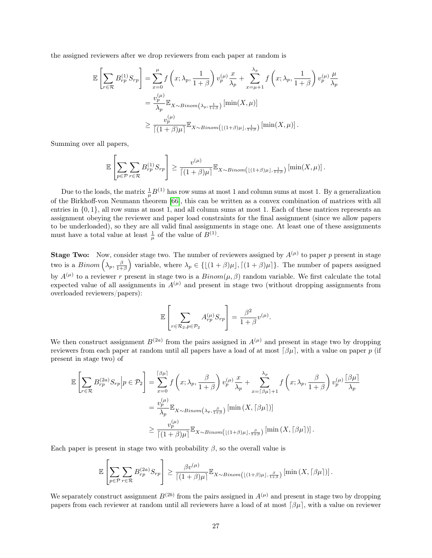the assigned reviewers after we drop reviewers from each paper at random is

$$
\mathbb{E}\left[\sum_{r\in\mathcal{R}} B_{rp}^{(1)} S_{rp}\right] = \sum_{x=0}^{\mu} f\left(x; \lambda_p, \frac{1}{1+\beta}\right) v_p^{(\mu)} \frac{x}{\lambda_p} + \sum_{x=\mu+1}^{\lambda_p} f\left(x; \lambda_p, \frac{1}{1+\beta}\right) v_p^{(\mu)} \frac{\mu}{\lambda_p}
$$

$$
= \frac{v_p^{(\mu)}}{\lambda_p} \mathbb{E}_{X \sim Binom\left(\lambda_p, \frac{1}{1+\beta}\right)} \left[\min(X, \mu)\right]
$$

$$
\geq \frac{v_p^{(\mu)}}{\left[(1+\beta)\mu\right]} \mathbb{E}_{X \sim Binom\left(\lfloor(1+\beta)\mu\rfloor, \frac{1}{1+\beta}\right)} \left[\min(X, \mu)\right].
$$

Summing over all papers,

$$
\mathbb{E}\left[\sum_{p\in\mathcal{P}}\sum_{r\in\mathcal{R}}B_{rp}^{(1)}S_{rp}\right] \geq \frac{v^{(\mu)}}{\left\lceil(1+\beta)\mu\right\rceil}\mathbb{E}_{X\sim Binom\left(\lfloor(1+\beta)\mu\rfloor,\frac{1}{1+\beta}\right)}\left[\min(X,\mu)\right].
$$

Due to the loads, the matrix  $\frac{1}{\mu}B^{(1)}$  has row sums at most 1 and column sums at most 1. By a generalization of the Birkhoff-von Neumann theorem [\[66\]](#page-15-17), this can be written as a convex combination of matrices with all entries in {0, 1}, all row sums at most 1, and all column sums at most 1. Each of these matrices represents an assignment obeying the reviewer and paper load constraints for the final assignment (since we allow papers to be underloaded), so they are all valid final assignments in stage one. At least one of these assignments must have a total value at least  $\frac{1}{\mu}$  of the value of  $B^{(1)}$ .

**Stage Two:** Now, consider stage two. The number of reviewers assigned by  $A^{(\mu)}$  to paper p present in stage two is a  $Binom\left(\lambda_p, \frac{\beta}{1+\beta}\right)$  variable, where  $\lambda_p \in \{\lfloor(1+\beta)\mu\rfloor, \lceil(1+\beta)\mu\rceil\}.$  The number of papers assigned by  $A^{(\mu)}$  to a reviewer r present in stage two is a  $Binom(\mu, \beta)$  random variable. We first calculate the total expected value of all assignments in  $A^{(\mu)}$  and present in stage two (without dropping assignments from overloaded reviewers/papers):

$$
\mathbb{E}\left[\sum_{r \in \mathcal{R}_2, p \in \mathcal{P}_2} A_{rp}^{(\mu)} S_{rp}\right] = \frac{\beta^2}{1+\beta} v^{(\mu)}.
$$

We then construct assignment  $B^{(2a)}$  from the pairs assigned in  $A^{(\mu)}$  and present in stage two by dropping reviewers from each paper at random until all papers have a load of at most  $\lceil \beta \mu \rceil$ , with a value on paper p (if present in stage two) of

$$
\mathbb{E}\left[\sum_{r\in\mathcal{R}}B_{rp}^{(2a)}S_{rp}\middle|p\in\mathcal{P}_2\right] = \sum_{x=0}^{\lceil\beta\mu\rceil}f\left(x;\lambda_p,\frac{\beta}{1+\beta}\right)v_p^{(\mu)}\frac{x}{\lambda_p} + \sum_{x=\lceil\beta\mu\rceil+1}^{\lambda_p}f\left(x;\lambda_p,\frac{\beta}{1+\beta}\right)v_p^{(\mu)}\frac{\lceil\beta\mu\rceil}{\lambda_p}
$$

$$
= \frac{v_p^{(\mu)}}{\lambda_p}\mathbb{E}_{X\sim Binom\left(\lambda_p,\frac{\beta}{1+\beta}\right)}\left[\min\left(X,\lceil\beta\mu\rceil\right)\right]
$$

$$
\geq \frac{v_p^{(\mu)}}{\lceil(1+\beta)\mu\rceil}\mathbb{E}_{X\sim Binom\left(\lfloor(1+\beta)\mu\rfloor,\frac{\beta}{1+\beta}\right)}\left[\min\left(X,\lceil\beta\mu\rceil\right)\right].
$$

Each paper is present in stage two with probability  $\beta$ , so the overall value is

$$
\mathbb{E}\left[\sum_{p\in\mathcal{P}}\sum_{r\in\mathcal{R}}B_{rp}^{(2a)}S_{rp}\right] \geq \frac{\beta v^{(\mu)}}{\left\lceil(1+\beta)\mu\right\rceil}\mathbb{E}_{X\sim Binom\left(\lfloor(1+\beta)\mu\rfloor,\frac{\beta}{1+\beta}\right)}\left[\min\left(X,\lceil\beta\mu\rceil\right)\right].
$$

We separately construct assignment  $B^{(2b)}$  from the pairs assigned in  $A^{(\mu)}$  and present in stage two by dropping papers from each reviewer at random until all reviewers have a load of at most  $\lceil \beta \mu \rceil$ , with a value on reviewer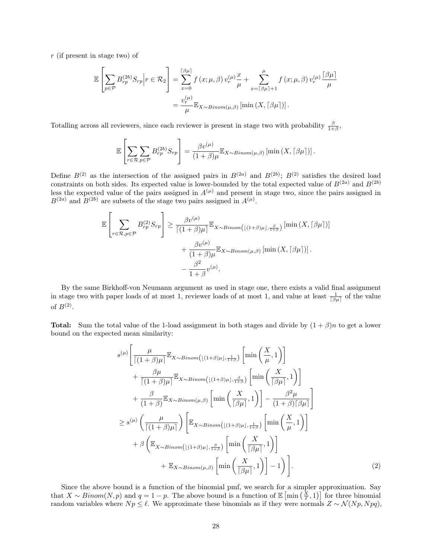r (if present in stage two) of

$$
\mathbb{E}\left[\sum_{p\in\mathcal{P}}B_{rp}^{(2b)}S_{rp}\middle|r\in\mathcal{R}_2\right] = \sum_{x=0}^{\lceil\beta\mu\rceil}f\left(x;\mu,\beta\right)v_r^{(\mu)}\frac{x}{\mu} + \sum_{x=\lceil\beta\mu\rceil+1}^{\mu}f\left(x;\mu,\beta\right)v_r^{(\mu)}\frac{\lceil\beta\mu\rceil}{\mu}
$$

$$
=\frac{v_r^{(\mu)}}{\mu}\mathbb{E}_{X\sim Binom(\mu,\beta)}\left[\min\left(X,\lceil\beta\mu\rceil\right)\right].
$$

Totalling across all reviewers, since each reviewer is present in stage two with probability  $\frac{\beta}{1+\beta}$ ,

$$
\mathbb{E}\left[\sum_{r\in\mathcal{R}}\sum_{p\in\mathcal{P}}B_{rp}^{(2b)}S_{rp}\right]=\frac{\beta v^{(\mu)}}{(1+\beta)\mu}\mathbb{E}_{X\sim Binom(\mu,\beta)}\left[\min\left(X,\lceil \beta\mu\rceil\right)\right].
$$

Define  $B^{(2)}$  as the intersection of the assigned pairs in  $B^{(2a)}$  and  $B^{(2b)}$ ;  $B^{(2)}$  satisfies the desired load constraints on both sides. Its expected value is lower-bounded by the total expected value of  $B^{(2a)}$  and  $B^{(2b)}$ less the expected value of the pairs assigned in  $A^{(\mu)}$  and present in stage two, since the pairs assigned in  $B^{(2a)}$  and  $B^{(2b)}$  are subsets of the stage two pairs assigned in  $A^{(\mu)}$ .

$$
\mathbb{E}\left[\sum_{r\in\mathcal{R},p\in\mathcal{P}} B_{rp}^{(2)} S_{rp}\right] \geq \frac{\beta v^{(\mu)}}{\left[(1+\beta)\mu\right]} \mathbb{E}_{X\sim Binom\left(\lfloor(1+\beta)\mu\rfloor,\frac{\beta}{1+\beta}\right)} \left[\min(X,\lceil\beta\mu\rceil)\right] + \frac{\beta v^{(\mu)}}{(1+\beta)\mu} \mathbb{E}_{X\sim Binom\left(\mu,\beta\right)} \left[\min(X,\lceil\beta\mu\rceil)\right].
$$

$$
-\frac{\beta^2}{1+\beta} v^{(\mu)}.
$$

By the same Birkhoff-von Neumann argument as used in stage one, there exists a valid final assignment in stage two with paper loads of at most 1, reviewer loads of at most 1, and value at least  $\frac{1}{\beta\mu\ell}$  of the value of  $B^{(2)}$ .

**Total:** Sum the total value of the 1-load assignment in both stages and divide by  $(1 + \beta)n$  to get a lower bound on the expected mean similarity:

<span id="page-27-0"></span>
$$
s^{(\mu)} \left[ \frac{\mu}{\lceil (1+\beta)\mu \rceil} \mathbb{E}_{X \sim Binom\left( \lfloor (1+\beta)\mu \rfloor, \frac{1}{1+\beta} \right)} \left[ \min\left(\frac{X}{\mu}, 1\right) \right] \right.+ \frac{\beta \mu}{\lceil (1+\beta)\mu \rceil} \mathbb{E}_{X \sim Binom\left( \lfloor (1+\beta)\mu \rfloor, \frac{\beta}{1+\beta} \right)} \left[ \min\left(\frac{X}{\lceil \beta \mu \rceil}, 1\right) \right]+ \frac{\beta}{(1+\beta)} \mathbb{E}_{X \sim Binom\left(\mu, \beta\right)} \left[ \min\left(\frac{X}{\lceil \beta \mu \rceil}, 1\right) \right] - \frac{\beta^2 \mu}{(1+\beta)\lceil \beta \mu \rceil} \right] \geq s^{(\mu)} \left( \frac{\mu}{\lceil (1+\beta)\mu \rceil} \right) \left[ \mathbb{E}_{X \sim Binom\left( \lfloor (1+\beta)\mu \rfloor, \frac{1}{1+\beta} \right)} \left[ \min\left(\frac{X}{\mu}, 1\right) \right] \right.+ \beta \left( \mathbb{E}_{X \sim Binom\left( \lfloor (1+\beta)\mu \rfloor, \frac{\beta}{1+\beta} \right)} \left[ \min\left(\frac{X}{\lceil \beta \mu \rceil}, 1\right) \right] \right.+ \mathbb{E}_{X \sim Binom\left(\mu, \beta\right)} \left[ \min\left(\frac{X}{\lceil \beta \mu \rceil}, 1\right) \right] - 1 \right).
$$
 (2)

Since the above bound is a function of the binomial pmf, we search for a simpler approximation. Say that  $X \sim Binom(N, p)$  and  $q = 1 - p$ . The above bound is a function of  $\mathbb{E} \left[ \min\left( \frac{X}{\ell}, 1 \right) \right]$  for three binomial random variables where  $N p \leq \ell$ . We approximate these binomials as if they were normals  $Z \sim \mathcal{N}(N p, N p q)$ ,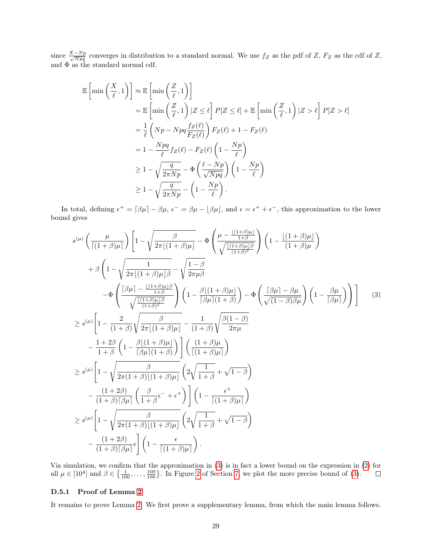since  $\frac{X-Np}{\sqrt{Npq}}$  converges in distribution to a standard normal. We use  $f_Z$  as the pdf of Z,  $F_Z$  as the cdf of Z, and Φ as the standard normal cdf.

$$
\mathbb{E}\left[\min\left(\frac{X}{\ell},1\right)\right] \approx \mathbb{E}\left[\min\left(\frac{Z}{\ell},1\right)\right]
$$
  
\n
$$
= \mathbb{E}\left[\min\left(\frac{Z}{\ell},1\right)|Z \leq \ell\right] P[Z \leq \ell] + \mathbb{E}\left[\min\left(\frac{Z}{\ell},1\right)|Z > \ell\right] P[Z > \ell]
$$
  
\n
$$
= \frac{1}{\ell}\left(Np - Npq\frac{f_Z(\ell)}{F_Z(\ell)}\right)F_Z(\ell) + 1 - F_Z(\ell)
$$
  
\n
$$
= 1 - \frac{Npq}{\ell}f_Z(\ell) - F_Z(\ell)\left(1 - \frac{Np}{\ell}\right)
$$
  
\n
$$
\geq 1 - \sqrt{\frac{q}{2\pi Np}} - \Phi\left(\frac{\ell - Np}{\sqrt{Npq}}\right)\left(1 - \frac{Np}{\ell}\right)
$$
  
\n
$$
\geq 1 - \sqrt{\frac{q}{2\pi Np}} - \left(1 - \frac{Np}{\ell}\right).
$$

In total, defining  $\epsilon^+ = [\beta \mu] - \beta \mu$ ,  $\epsilon^- = \beta \mu - [\beta \mu]$ , and  $\epsilon = \epsilon^+ + \epsilon^-$ , this approximation to the lower bound gives

<span id="page-28-0"></span>
$$
s^{(\mu)}\left(\frac{\mu}{\lceil(1+\beta)\mu\rceil}\right)\left[1-\sqrt{\frac{\beta}{2\pi\lfloor(1+\beta)\mu\rfloor}}-\Phi\left(\frac{\mu-\frac{\lfloor(1+\beta)\mu\rfloor}{1+\beta}}{\sqrt{\frac{\lfloor(1+\beta)\mu\rfloor\beta}}}\right)\left(1-\frac{\lfloor(1+\beta)\mu\rfloor}{(1+\beta)\mu}\right)\right]
$$

$$
+\beta\left(1-\sqrt{\frac{1}{2\pi\lfloor(1+\beta)\mu\rfloor\beta}}-\sqrt{\frac{1-\beta}{2\pi\mu\beta}}\right)
$$

$$
-\Phi\left(\frac{\lceil\beta\mu\rceil-\frac{\lfloor(1+\beta)\mu\rfloor\beta}{1+\beta}}{\sqrt{\frac{\lfloor(1+\beta)\mu\rfloor\beta}{(1+\beta)^2}}}\right)\left(1-\frac{\beta\lfloor(1+\beta)\mu\rfloor}{\lceil\beta\mu\rceil(1+\beta)}\right)-\Phi\left(\frac{\lceil\beta\mu\rceil-\beta\mu}{\sqrt{(1-\beta)\beta\mu}}\right)\left(1-\frac{\beta\mu}{\lceil\beta\mu\rceil}\right)\right)\right]
$$
(3)
$$
\geq s^{(\mu)}\left[1-\frac{2}{(1+\beta)}\sqrt{\frac{\beta}{2\pi\lfloor(1+\beta)\mu\rfloor}}-\frac{1}{(1+\beta)}\sqrt{\frac{\beta(1-\beta)}{2\pi\mu}}-\frac{1+\beta\beta}{1+\beta}\left(1-\frac{\beta\lfloor(1+\beta)\mu\rfloor}{\lceil\beta\mu\rceil(1+\beta)}\right)\right]\left(\frac{(1+\beta)\mu}{\lceil(1+\beta)\mu\rceil}\right)
$$

$$
\geq s^{(\mu)}\left[1-\sqrt{\frac{\beta}{2\pi(1+\beta)\lfloor(1+\beta)\mu\rfloor}}\left(2\sqrt{\frac{1}{1+\beta}}+\sqrt{1-\beta}\right)
$$

$$
-\frac{(1+2\beta)}{(1+\beta)\beta\mu\lfloor\frac{\beta}{\mu}\rfloor}\left(\frac{\beta}{1+\beta}e^{-}+e^{+}\right)\right]\left(1-\frac{e^{+}}{\lceil(1+\beta)\mu\rceil}\right)
$$

$$
\geq s^{(\mu)}\left[1-\sqrt{\frac{\beta}{2\pi(1+\beta)\lfloor(1+\beta)\mu\rfloor}}\left(2\sqrt{\frac{1}{1+\beta}}+\sqrt{1-\beta}\right)
$$

$$
-\frac{(1+2\beta)}{(1+\beta)\beta\
$$

Via simulation, we confirm that the approximation in [\(3\)](#page-28-0) is in fact a lower bound on the expression in [\(2\)](#page-27-0) for all  $\mu \in [10^4]$  and  $\beta \in \{\frac{1}{100}, \ldots, \frac{100}{100}\}$ . In Figure [2](#page-11-0) of Section [7,](#page-9-0) we plot the more precise bound of [\(3\)](#page-28-0).

#### D.5.1 Proof of Lemma [2](#page-25-1)

It remains to prove Lemma [2.](#page-25-1) We first prove a supplementary lemma, from which the main lemma follows.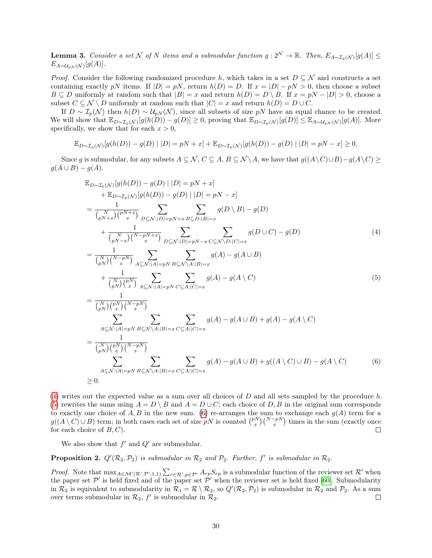<span id="page-29-4"></span>**Lemma 3.** Consider a set N of N items and a submodular function  $g: 2^N \to \mathbb{R}$ . Then,  $E_{A \sim \mathcal{I}_p(\mathcal{N})}[g(A)] \le$  $E_{A\sim\mathcal{U}_{pN}(\mathcal{N})}[g(A)].$ 

*Proof.* Consider the following randomized procedure h, which takes in a set  $D \subseteq \mathcal{N}$  and constructs a set containing exactly pN items. If  $|D| = pN$ , return  $h(D) = D$ . If  $x = |D| - pN > 0$ , then choose a subset  $B \subseteq D$  uniformly at random such that  $|B| = x$  and return  $h(D) = D \setminus B$ . If  $x = pN - |D| > 0$ , choose a subset  $C \subseteq \mathcal{N} \setminus D$  uniformly at random such that  $|C| = x$  and return  $h(D) = D \cup C$ .

If  $D \sim \mathcal{I}_p(\mathcal{N})$  then  $h(D) \sim \mathcal{U}_{pN}(\mathcal{N})$ , since all subsets of size pN have an equal chance to be created. We will show that  $\mathbb{E}_{D\sim\mathcal{I}_p(\mathcal{N})}[g(h(D)) - g(D)] \geq 0$ , proving that  $\mathbb{E}_{D\sim\mathcal{I}_p(\mathcal{N})}[g(D)] \leq \mathbb{E}_{A\sim\mathcal{U}_{pN}(\mathcal{N})}[g(A)]$ . More specifically, we show that for each  $x > 0$ ,

$$
\mathbb{E}_{D\sim \mathcal{I}_p(\mathcal{N})}[g(h(D)) - g(D) \mid |D| = pN + x] + \mathbb{E}_{D\sim \mathcal{I}_p(\mathcal{N})}[g(h(D)) - g(D) \mid |D| = pN - x] \ge 0.
$$

Since g is submodular, for any subsets  $A \subseteq \mathcal{N}$ ,  $C \subseteq A$ ,  $B \subseteq \mathcal{N} \setminus A$ , we have that  $g((A \setminus C) \cup B) - g(A \setminus C) \ge$  $q(A \cup B) - q(A).$ 

<span id="page-29-0"></span>
$$
\mathbb{E}_{D \sim T_p(N)}[g(h(D)) - g(D) | |D| = pN + x]
$$
  
+  $\mathbb{E}_{D \sim T_p(N)}[g(h(D)) - g(D) | |D| = pN - x]$   
=  $\frac{1}{\binom{N}{pN+x}} \sum_{p \le N:|D| = pN+x} \sum_{B \subseteq D:|B|=x} g(D \setminus B) - g(D)$   
+  $\frac{1}{\binom{N}{pN-x}} \sum_{p \le N:|D| = pN+x} \sum_{D \subseteq N:|D| = pN-x} \sum_{C \subseteq N \setminus D:|C|=x} g(D \cup C) - g(D)$   
=  $\frac{1}{\binom{N}{pN}} \sum_{x} \sum_{A \subseteq N:|A| = pN} \sum_{B \subseteq N \setminus A:|B| = x} g(A) - g(A \cup B)$   
+  $\frac{1}{\binom{N}{pN}} \sum_{x} \sum_{A \subseteq N:|A| = pN} \sum_{C \subseteq A:|C|=x} g(A) - g(A \setminus C)$   
=  $\frac{1}{\binom{N}{pN}} \sum_{x} \sum_{x} \sum_{x} g(A) - g(A \setminus C)$   
 $\sum_{x} \sum_{x} g(A) - g(A \cup B) + g(A) - g(A \setminus C)$  (5)

<span id="page-29-2"></span><span id="page-29-1"></span>
$$
= \frac{1}{\binom{N}{pN}\binom{pN}{x}\binom{N-pN}{x}}}{\sum_{A\subseteq\mathcal{N}:|A|=pN}\sum_{B\subseteq\mathcal{N}\backslash A:|B|=x}\sum_{C\subseteq A:|C|=x}g(A)-g(A\cup B)+g((A\setminus C)\cup B)-g(A\setminus C)
$$
(6)  

$$
\geq 0.
$$

[\(4\)](#page-29-0) writes out the expected value as a sum over all choices of  $D$  and all sets sampled by the procedure h. [\(5\)](#page-29-1) rewrites the sums using  $A = D \setminus B$  and  $A = D \cup C$ ; each choice of D, B in the original sum corresponds to exactly one choice of  $A, B$  in the new sum. [\(6\)](#page-29-2) re-arranges the sum to exchange each  $g(A)$  term for a  $g((A \setminus C) \cup B)$  term; in both cases each set of size pN is counted  $\binom{pN}{x} \binom{N-pN}{x}$  times in the sum (exactly once for each choice of  $B, C$ ).  $\Box$ 

We also show that  $f'$  and  $Q'$  are submodular.

<span id="page-29-3"></span>**Proposition 2.**  $Q'(\mathcal{R}_2, \mathcal{P}_2)$  is submodular in  $\mathcal{R}_2$  and  $\mathcal{P}_2$ . Further,  $f'$  is submodular in  $\mathcal{R}_2$ .

*Proof.* Note that  $\max_{A \in \mathcal{M}'(\mathcal{R}', \mathcal{P}';1,1)} \sum_{r \in \mathcal{R}', p \in \mathcal{P}'} A_{rp} S_{rp}$  is a submodular function of the reviewer set  $\mathcal{R}'$  when the paper set  $\mathcal{P}'$  is held fixed and of the paper set  $\mathcal{P}'$  when the reviewer set is held fixed [\[60\]](#page-15-11). Submodularity in  $\mathcal{R}_2$  is equivalent to submodularity in  $\mathcal{R}_1 = \mathcal{R} \setminus \mathcal{R}_2$ , so  $Q'(\mathcal{R}_2, \mathcal{P}_2)$  is submodular in  $\mathcal{R}_2$  and  $\mathcal{P}_2$ . As a sum over terms submodular in  $\mathcal{R}_2$ ,  $f'$  is submodular in  $\mathcal{R}_2$ .  $\Box$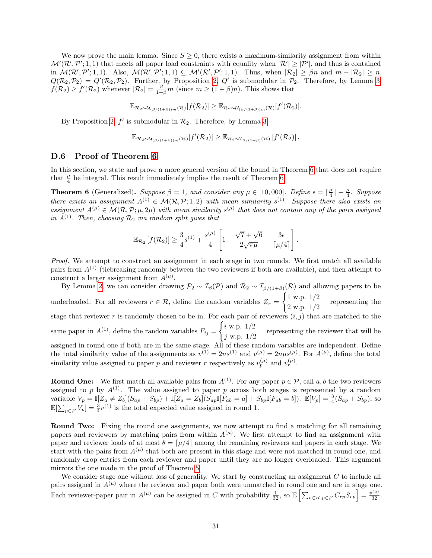We now prove the main lemma. Since  $S \geq 0$ , there exists a maximum-similarity assignment from within  $\mathcal{M}'(\mathcal{R}', \mathcal{P}'; 1, 1)$  that meets all paper load constraints with equality when  $|\mathcal{R}'| \geq |\mathcal{P}'|$ , and thus is contained in  $\mathcal{M}(\mathcal{R}', \mathcal{P}'; 1, 1)$ . Also,  $\mathcal{M}(\mathcal{R}', \mathcal{P}'; 1, 1) \subseteq \mathcal{M}'(\mathcal{R}', \mathcal{P}'; 1, 1)$ . Thus, when  $|\mathcal{R}_2| \geq \beta n$  and  $m - |\mathcal{R}_2| \geq n$ ,  $Q(R_2, P_2) = Q'(R_2, P_2)$ . Further, by Proposition [2,](#page-29-3) Q' is submodular in  $P_2$ . Therefore, by Lemma [3,](#page-29-4)  $f(\mathcal{R}_2) \ge f'(\mathcal{R}_2)$  whenever  $|\mathcal{R}_2| = \frac{\beta}{1+\beta}m$  (since  $m \ge (1+\beta)n$ ). This shows that

$$
\mathbb{E}_{\mathcal{R}_2 \sim \mathcal{U}_{(\beta/(1+\beta))m}(\mathcal{R})}[f(\mathcal{R}_2)] \geq \mathbb{E}_{\mathcal{R}_2 \sim \mathcal{U}_{(\beta/(1+\beta))m}(\mathcal{R})}[f'(\mathcal{R}_2)].
$$

By Proposition [2](#page-29-3),  $f'$  is submodular in  $\mathcal{R}_2$ . Therefore, by Lemma [3,](#page-29-4)

$$
\mathbb{E}_{\mathcal{R}_2 \sim \mathcal{U}_{(\beta/(1+\beta))m}(\mathcal{R})}[f'(\mathcal{R}_2)] \geq \mathbb{E}_{\mathcal{R}_2 \sim \mathcal{I}_{\beta/(1+\beta)}(\mathcal{R})}[f'(\mathcal{R}_2)].
$$

#### <span id="page-30-0"></span>D.6 Proof of Theorem [6](#page-10-0)

In this section, we state and prove a more general version of the bound in Theorem [6](#page-10-0) that does not require that  $\frac{\mu}{4}$  be integral. This result immediately implies the result of Theorem [6.](#page-10-0)

**Theorem 6** (Generalized). Suppose  $\beta = 1$ , and consider any  $\mu \in [10,000]$ . Define  $\epsilon = \lceil \frac{\mu}{4} \rceil - \frac{\mu}{4}$ . Suppose there exists an assignment  $A^{(1)} \in \mathcal{M}(\mathcal{R}, \mathcal{P}; 1, 2)$  with mean similarity  $s^{(1)}$ . Suppose there also exists an assignment  $A^{(\mu)} \in \mathcal{M}(\mathcal{R}, \mathcal{P}; \mu, 2\mu)$  with mean similarity  $s^{(\mu)}$  that does not contain any of the pairs assigned in  $A^{(1)}$ . Then, choosing  $\mathcal{R}_2$  via random split gives that

$$
\mathbb{E}_{\mathcal{R}_2}[f(\mathcal{R}_2)] \ge \frac{3}{4}s^{(1)} + \frac{s^{(\mu)}}{4}\left[1 - \frac{\sqrt{7} + \sqrt{6}}{2\sqrt{\pi\mu}} - \frac{3\epsilon}{[\mu/4]}\right].
$$

Proof. We attempt to construct an assignment in each stage in two rounds. We first match all available pairs from  $A^{(1)}$  (tiebreaking randomly between the two reviewers if both are available), and then attempt to construct a larger assignment from  $A^{(\mu)}$ .

By Lemma [2,](#page-25-1) we can consider drawing  $\mathcal{P}_2 \sim \mathcal{I}_{\beta}(\mathcal{P})$  and  $\mathcal{R}_2 \sim \mathcal{I}_{\beta/(1+\beta)}(\mathcal{R})$  and allowing papers to be underloaded. For all reviewers  $r \in \mathcal{R}$ , define the random variables  $Z_r =$  $\int 1$  w.p.  $1/2$  $2 \text{ w.p. } 1/2$  representing the stage that reviewer r is randomly chosen to be in. For each pair of reviewers  $(i, j)$  that are matched to the same paper in  $A^{(1)}$ , define the random variables  $F_{ij} =$  $\int i$  w.p.  $1/2$  $j$  w.p.  $1/2$  representing the reviewer that will be  $j$  w.p.  $1/2$ assigned in round one if both are in the same stage. All of these random variables are independent. Define the total similarity value of the assignments as  $v^{(1)} = 2ns^{(1)}$  and  $v^{(\mu)} = 2n\mu s^{(\mu)}$ . For  $A^{(\mu)}$ , define the total similarity value assigned to paper p and reviewer r respectively as  $v_p^{(\mu)}$  and  $v_r^{(\mu)}$ .

**Round One:** We first match all available pairs from  $A^{(1)}$ . For any paper  $p \in \mathcal{P}$ , call a, b the two reviewers assigned to p by  $A^{(1)}$ . The value assigned to paper p across both stages is represented by a random variable  $V_p = \mathbb{I}[Z_a \neq Z_b](S_{ap} + S_{bp}) + \mathbb{I}[Z_a = Z_b](S_{ap}\mathbb{I}[F_{ab} = a] + S_{bp}\mathbb{I}[F_{ab} = b])$ .  $\mathbb{E}[V_p] = \frac{3}{4}(S_{ap} + S_{bp})$ , so  $\mathbb{E}[\sum_{p \in \mathcal{P}} V_p] = \frac{3}{4}v^{(1)}$  is the total expected value assigned in round 1.

Round Two: Fixing the round one assignments, we now attempt to find a matching for all remaining papers and reviewers by matching pairs from within  $A^{(\mu)}$ . We first attempt to find an assignment with paper and reviewer loads of at most  $\theta = \left[\mu/4\right]$  among the remaining reviewers and papers in each stage. We start with the pairs from  $A^{(\mu)}$  that both are present in this stage and were not matched in round one, and randomly drop entries from each reviewer and paper until they are no longer overloaded. This argument mirrors the one made in the proof of Theorem [5.](#page-9-1)

We consider stage one without loss of generality. We start by constructing an assignment  $C$  to include all pairs assigned in  $A(\mu)$  where the reviewer and paper both were unmatched in round one and are in stage one. Each reviewer-paper pair in  $A^{(\mu)}$  can be assigned in C with probability  $\frac{1}{32}$ , so  $\mathbb{E} \left[ \sum_{r \in \mathcal{R}, p \in \mathcal{P}} C_{rp} S_{rp} \right] = \frac{v^{(\mu)}}{32}$ .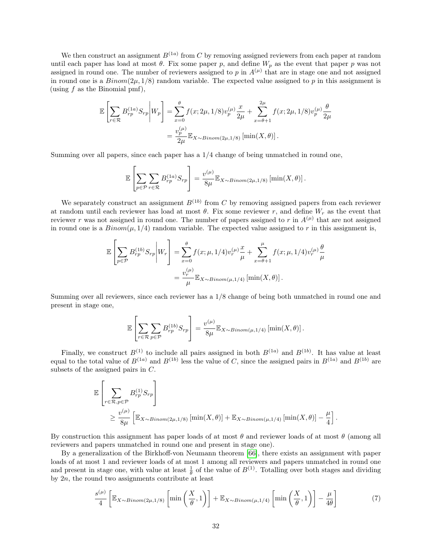We then construct an assignment  $B^{(1a)}$  from C by removing assigned reviewers from each paper at random until each paper has load at most  $\theta$ . Fix some paper p, and define  $W_p$  as the event that paper p was not assigned in round one. The number of reviewers assigned to p in  $A^{(\mu)}$  that are in stage one and not assigned in round one is a  $Binom(2\mu, 1/8)$  random variable. The expected value assigned to p in this assignment is (using  $f$  as the Binomial pmf),

$$
\mathbb{E}\left[\sum_{r\in\mathcal{R}} B_{rp}^{(1a)} S_{rp} \middle| W_p \right] = \sum_{x=0}^{\theta} f(x; 2\mu, 1/8) v_p^{(\mu)} \frac{x}{2\mu} + \sum_{x=\theta+1}^{2\mu} f(x; 2\mu, 1/8) v_p^{(\mu)} \frac{\theta}{2\mu}
$$

$$
= \frac{v_p^{(\mu)}}{2\mu} \mathbb{E}_{X \sim Binom(2\mu, 1/8)} \left[ \min(X, \theta) \right].
$$

Summing over all papers, since each paper has a 1/4 change of being unmatched in round one,

$$
\mathbb{E}\left[\sum_{p\in\mathcal{P}}\sum_{r\in\mathcal{R}}B_{rp}^{(1a)}S_{rp}\right]=\frac{v^{(\mu)}}{8\mu}\mathbb{E}_{X\sim Binom(2\mu,1/8)}\left[\min(X,\theta)\right].
$$

We separately construct an assignment  $B^{(1b)}$  from C by removing assigned papers from each reviewer at random until each reviewer has load at most  $\theta$ . Fix some reviewer r, and define  $W_r$  as the event that reviewer r was not assigned in round one. The number of papers assigned to r in  $A^{(\mu)}$  that are not assigned in round one is a  $Binom(\mu, 1/4)$  random variable. The expected value assigned to r in this assignment is,

$$
\mathbb{E}\left[\sum_{p\in\mathcal{P}} B_{rp}^{(1b)} S_{rp} \middle| W_r \right] = \sum_{x=0}^{\theta} f(x; \mu, 1/4) v_r^{(\mu)} \frac{x}{\mu} + \sum_{x=\theta+1}^{\mu} f(x; \mu, 1/4) v_r^{(\mu)} \frac{\theta}{\mu}
$$

$$
= \frac{v_r^{(\mu)}}{\mu} \mathbb{E}_{X \sim Binom(\mu, 1/4)} \left[ \min(X, \theta) \right].
$$

Summing over all reviewers, since each reviewer has a 1/8 change of being both unmatched in round one and present in stage one,

$$
\mathbb{E}\left[\sum_{r\in\mathcal{R}}\sum_{p\in\mathcal{P}}B_{rp}^{(1b)}S_{rp}\right]=\frac{v^{(\mu)}}{8\mu}\mathbb{E}_{X\sim Binom(\mu,1/4)}\left[\min(X,\theta)\right].
$$

Finally, we construct  $B^{(1)}$  to include all pairs assigned in both  $B^{(1a)}$  and  $B^{(1b)}$ . It has value at least equal to the total value of  $B^{(1a)}$  and  $B^{(1b)}$  less the value of C, since the assigned pairs in  $B^{(1a)}$  and  $B^{(1b)}$  are subsets of the assigned pairs in C.

$$
\mathbb{E}\left[\sum_{r \in \mathcal{R}, p \in \mathcal{P}} B_{rp}^{(1)} S_{rp}\right] \ge \frac{v^{(\mu)}}{8\mu} \left[\mathbb{E}_{X \sim Binom(2\mu, 1/8)}\left[\min(X, \theta)\right] + \mathbb{E}_{X \sim Binom(\mu, 1/4)}\left[\min(X, \theta)\right] - \frac{\mu}{4}\right].
$$

By construction this assignment has paper loads of at most  $\theta$  and reviewer loads of at most  $\theta$  (among all reviewers and papers unmatched in round one and present in stage one).

By a generalization of the Birkhoff-von Neumann theorem [\[66\]](#page-15-17), there exists an assignment with paper loads of at most 1 and reviewer loads of at most 1 among all reviewers and papers unmatched in round one and present in stage one, with value at least  $\frac{1}{\theta}$  of the value of  $B^{(1)}$ . Totalling over both stages and dividing by  $2n$ , the round two assignments contribute at least

<span id="page-31-0"></span>
$$
\frac{s^{(\mu)}}{4} \left[ \mathbb{E}_{X \sim Binom(2\mu, 1/8)} \left[ \min\left(\frac{X}{\theta}, 1\right) \right] + \mathbb{E}_{X \sim Binom(\mu, 1/4)} \left[ \min\left(\frac{X}{\theta}, 1\right) \right] - \frac{\mu}{4\theta} \right] \tag{7}
$$